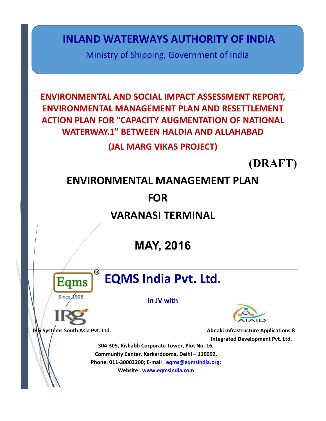**INLAND WATERWAYS AUTHORITY OF INDIA**

Ministry of Shipping, Government of India

**ENVIRONMENTAL AND SOCIAL IMPACT ASSESSMENT REPORT, ENVIRONMENTAL MANAGEMENT PLAN AND RESETTLEMENT ACTION PLAN FOR "CAPACITY AUGMENTATION OF NATIONAL WATERWAY.1" BETWEEN HALDIA AND ALLAHABAD** 

**(JAL MARG VIKAS PROJECT)**

**(DRAFT)** 

## **ENVIRONMENTAL MANAGEMENT PLAN**

**FOR**

**VARANASI TERMINAL** 

**MAY, 2016**



# **EQMS India Pvt. Ltd.**

**In JV with**



**IRG** Systems South Asia Pvt. Ltd. **Abnaki Infrastructure Applications & Integrated Development Pvt. Ltd.**

**304-305, Rishabh Corporate Tower, Plot No. 16, Community Center, Karkardooma, Delhi – 110092, Phone: 011-30003200; E-mail : [eqms@eqmsindia.org;](mailto:eqms@eqmsindia.org) Website : [www.eqmsindia.com](http://www.eqmsindia.com/)**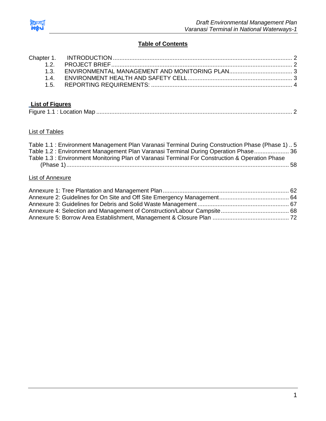

### **Table of Contents**

## **List of Figures**

|--|--|--|--|

#### List of Tables

| Table 1.1 : Environment Management Plan Varanasi Terminal During Construction Phase (Phase 1) 5 |  |
|-------------------------------------------------------------------------------------------------|--|
| Table 1.2: Environment Management Plan Varanasi Terminal During Operation Phase 36              |  |
| Table 1.3 : Environment Monitoring Plan of Varanasi Terminal For Construction & Operation Phase |  |
|                                                                                                 |  |
|                                                                                                 |  |

## List of Annexure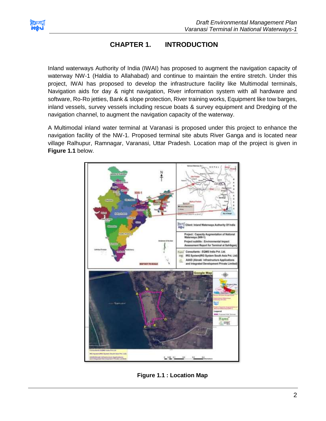<span id="page-2-0"></span>

## **CHAPTER 1. INTRODUCTION**

Inland waterways Authority of India (IWAI) has proposed to augment the navigation capacity of waterway NW-1 (Haldia to Allahabad) and continue to maintain the entire stretch. Under this project, IWAI has proposed to develop the infrastructure facility like Multimodal terminals, Navigation aids for day & night navigation, River information system with all hardware and software, Ro-Ro jetties, Bank & slope protection, River training works, Equipment like tow barges, inland vessels, survey vessels including rescue boats & survey equipment and Dredging of the navigation channel, to augment the navigation capacity of the waterway.

A Multimodal inland water terminal at Varanasi is proposed under this project to enhance the navigation facility of the NW-1. Proposed terminal site abuts River Ganga and is located near village Ralhupur, Ramnagar, Varanasi, Uttar Pradesh. Location map of the project is given in **Figure 1.1** below.



<span id="page-2-1"></span>**Figure 1.1 : Location Map**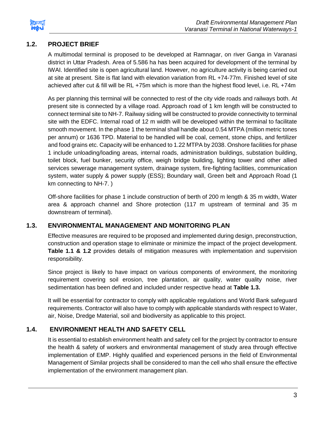

## **1.2. PROJECT BRIEF**

A multimodal terminal is proposed to be developed at Ramnagar, on river Ganga in Varanasi district in Uttar Pradesh. Area of 5.586 ha has been acquired for development of the terminal by IWAI. Identified site is open agricultural land. However, no agriculture activity is being carried out at site at present. Site is flat land with elevation variation from RL +74-77m. Finished level of site achieved after cut & fill will be RL +75m which is more than the highest flood level, i.e. RL +74m

As per planning this terminal will be connected to rest of the city vide roads and railways both. At present site is connected by a village road. Approach road of 1 km length will be constructed to connect terminal site to NH-7. Railway siding will be constructed to provide connectivity to terminal site with the EDFC. Internal road of 12 m width will be developed within the terminal to facilitate smooth movement. In the phase 1 the terminal shall handle about 0.54 MTPA (million metric tones per annum) or 1636 TPD. Material to be handled will be coal, cement, stone chips, and fertilizer and food grains etc. Capacity will be enhanced to 1.22 MTPA by 2038. Onshore facilities for phase 1 include unloading/loading areas, internal roads, administration buildings, substation building, toilet block, fuel bunker, security office, weigh bridge building, lighting tower and other allied services sewerage management system, drainage system, fire-fighting facilities, communication system, water supply & power supply (ESS); Boundary wall, Green belt and Approach Road (1 km connecting to NH-7. )

Off-shore facilities for phase 1 include construction of berth of 200 m length & 35 m width, Water area & approach channel and Shore protection (117 m upstream of terminal and 35 m downstream of terminal).

## <span id="page-3-0"></span>**1.3. ENVIRONMENTAL MANAGEMENT AND MONITORING PLAN**

Effective measures are required to be proposed and implemented during design, preconstruction, construction and operation stage to eliminate or minimize the impact of the project development. **Table 1.1 & 1.2** provides details of mitigation measures with implementation and supervision responsibility.

Since project is likely to have impact on various components of environment, the monitoring requirement covering soil erosion, tree plantation, air quality, water quality noise, river sedimentation has been defined and included under respective head at **Table 1.3.** 

It will be essential for contractor to comply with applicable regulations and World Bank safeguard requirements. Contractor will also have to comply with applicable standards with respect to Water, air, Noise, Dredge Material, soil and biodiversity as applicable to this project.

## **1.4. ENVIRONMENT HEALTH AND SAFETY CELL**

<span id="page-3-1"></span>It is essential to establish environment health and safety cell for the project by contractor to ensure the health & safety of workers and environmental management of study area through effective implementation of EMP. Highly qualified and experienced persons in the field of Environmental Management of Similar projects shall be considered to man the cell who shall ensure the effective implementation of the environment management plan.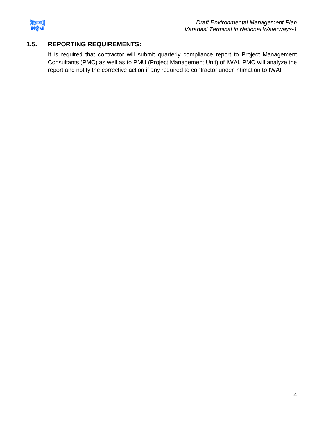

## <span id="page-4-0"></span>**1.5. REPORTING REQUIREMENTS:**

It is required that contractor will submit quarterly compliance report to Project Management Consultants (PMC) as well as to PMU (Project Management Unit) of IWAI. PMC will analyze the report and notify the corrective action if any required to contractor under intimation to IWAI.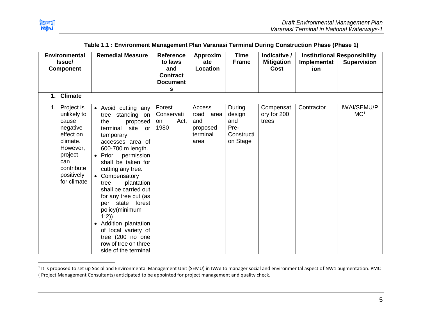

l

<span id="page-5-0"></span>

| <b>Environmental</b>                                                                                                                                   | <b>Remedial Measure</b>                                                                                                                                                                                                                                                                                                                                        | <b>Reference</b>                           | Approxim                                                      | <b>Time</b>                                               | Indicative /                      |             | <b>Institutional Responsibility</b>   |
|--------------------------------------------------------------------------------------------------------------------------------------------------------|----------------------------------------------------------------------------------------------------------------------------------------------------------------------------------------------------------------------------------------------------------------------------------------------------------------------------------------------------------------|--------------------------------------------|---------------------------------------------------------------|-----------------------------------------------------------|-----------------------------------|-------------|---------------------------------------|
| Issue/                                                                                                                                                 |                                                                                                                                                                                                                                                                                                                                                                | to laws                                    | ate                                                           | <b>Frame</b>                                              | <b>Mitigation</b>                 | Implementat | <b>Supervision</b>                    |
| <b>Component</b>                                                                                                                                       |                                                                                                                                                                                                                                                                                                                                                                | and                                        | Location                                                      |                                                           | <b>Cost</b>                       | ion         |                                       |
|                                                                                                                                                        |                                                                                                                                                                                                                                                                                                                                                                | <b>Contract</b>                            |                                                               |                                                           |                                   |             |                                       |
|                                                                                                                                                        |                                                                                                                                                                                                                                                                                                                                                                | <b>Document</b>                            |                                                               |                                                           |                                   |             |                                       |
|                                                                                                                                                        |                                                                                                                                                                                                                                                                                                                                                                | s                                          |                                                               |                                                           |                                   |             |                                       |
| <b>Climate</b><br>1.                                                                                                                                   |                                                                                                                                                                                                                                                                                                                                                                |                                            |                                                               |                                                           |                                   |             |                                       |
| Project is<br>1.<br>unlikely to<br>cause<br>negative<br>effect on<br>climate.<br>However,<br>project<br>can<br>contribute<br>positively<br>for climate | • Avoid cutting any<br>tree standing on<br>the<br>proposed<br>terminal<br>site<br><b>or</b><br>temporary<br>accesses area of<br>600-700 m length.<br>• Prior<br>permission<br>shall be taken for<br>cutting any tree.<br>• Compensatory<br>plantation<br>tree<br>shall be carried out<br>for any tree cut (as<br>state forest<br>per<br>policy(minimum<br>1:2) | Forest<br>Conservati<br>Act,<br>on<br>1980 | Access<br>road<br>area<br>and<br>proposed<br>terminal<br>area | During<br>design<br>and<br>Pre-<br>Constructi<br>on Stage | Compensat<br>ory for 200<br>trees | Contractor  | <b>IWAI/SEMU/P</b><br>MC <sup>1</sup> |
|                                                                                                                                                        | • Addition plantation<br>of local variety of<br>tree (200 no one<br>row of tree on three<br>side of the terminal                                                                                                                                                                                                                                               |                                            |                                                               |                                                           |                                   |             |                                       |

#### **Table 1.1 : Environment Management Plan Varanasi Terminal During Construction Phase (Phase 1)**

 $^1$  It is proposed to set up Social and Environmental Management Unit (SEMU) in IWAI to manager social and environmental aspect of NW1 augmentation. PMC ( Project Management Consultants) anticipated to be appointed for project management and quality check.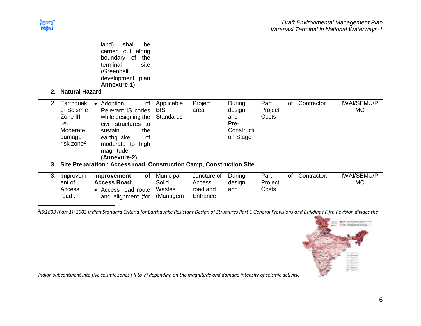

| $2_{-}$ | <b>Natural Hazard</b>                                                                       | shall<br>land)<br>be<br>carried<br>out<br>along<br>boundary<br>of<br>the<br>site<br>terminal<br>(Greenbelt<br>development plan<br>Annexure-1)                                  |                                              |                                               |                                                           |                                       |             |                           |
|---------|---------------------------------------------------------------------------------------------|--------------------------------------------------------------------------------------------------------------------------------------------------------------------------------|----------------------------------------------|-----------------------------------------------|-----------------------------------------------------------|---------------------------------------|-------------|---------------------------|
| 2.      | Earthquak<br>e-Seismic<br>Zone III<br>i.e.,<br>Moderate<br>damage<br>risk zone <sup>2</sup> | • Adoption<br>of<br>Relevant IS codes<br>while designing the<br>civil structures to<br>sustain<br>the<br>earthquake<br>of<br>moderate to<br>high<br>magnitude.<br>(Annexure-2) | Applicable<br><b>BIS</b><br><b>Standards</b> | Project<br>area                               | During<br>design<br>and<br>Pre-<br>Constructi<br>on Stage | Part<br><b>of</b><br>Project<br>Costs | Contractor  | <b>IWAI/SEMU/P</b><br>MC. |
| 3.      |                                                                                             | Site Preparation: Access road, Construction Camp, Construction Site                                                                                                            |                                              |                                               |                                                           |                                       |             |                           |
| 3.      | Improvem<br>ent of<br>Access<br>road:                                                       | Improvement<br>of<br><b>Access Road:</b><br>• Access road route<br>and alignment (for                                                                                          | Municipal<br>Solid<br>Wastes<br>(Managem     | Juncture of<br>Access<br>road and<br>Entrance | During<br>design<br>and                                   | Part<br>of<br>Project<br>Costs        | Contractor. | <b>IWAI/SEMU/P</b><br>MC. |

2 *IS:1893 (Part 1): 2002 Indian Standard Criteria for Earthquake Resistant Design of Structures Part 1 General Provisions and Buildings Fifth Revision divides the* 



*Indian subcontinent into five seismic zones ( II to V) depending on the magnitude and damage intensity of seismic activity.*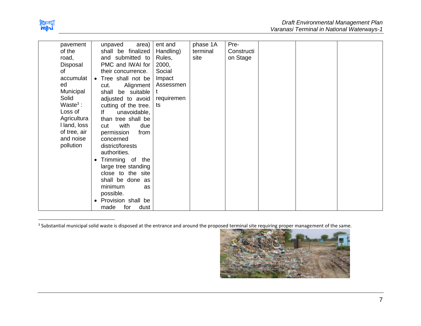

 $\overline{a}$ 

| pavement     | unpaved      | area)                | ent and    | phase 1A | Pre-       |  |  |
|--------------|--------------|----------------------|------------|----------|------------|--|--|
| of the       |              | shall be finalized   | Handling)  | terminal | Constructi |  |  |
| road,        |              | and submitted to     | Rules,     | site     | on Stage   |  |  |
| Disposal     |              | PMC and IWAI for     | 2000,      |          |            |  |  |
| οf           |              | their concurrence.   | Social     |          |            |  |  |
| accumulat    |              | • Tree shall not be  | Impact     |          |            |  |  |
| ed           | cut.         | Alignment            | Assessmen  |          |            |  |  |
| Municipal    | shall        | be suitable          |            |          |            |  |  |
| Solid        |              | adjusted to avoid    | requiremen |          |            |  |  |
| Waste $3:$   |              | cutting of the tree. | ts         |          |            |  |  |
| Loss of      | lf           | unavoidable,         |            |          |            |  |  |
| Agricultura  |              | than tree shall be   |            |          |            |  |  |
| I land, loss | cut          | with<br>due          |            |          |            |  |  |
| of tree, air | permission   | from                 |            |          |            |  |  |
| and noise    | concerned    |                      |            |          |            |  |  |
| pollution    |              | district/forests     |            |          |            |  |  |
|              | authorities. |                      |            |          |            |  |  |
|              | $\bullet$    | Trimming of the      |            |          |            |  |  |
|              |              | large tree standing  |            |          |            |  |  |
|              |              | close to the site    |            |          |            |  |  |
|              |              | shall be done as     |            |          |            |  |  |
|              | minimum      | as                   |            |          |            |  |  |
|              | possible.    |                      |            |          |            |  |  |
|              | $\bullet$    | Provision shall be   |            |          |            |  |  |
|              | made         | dust<br>for          |            |          |            |  |  |

<sup>3</sup> Substantial municipal solid waste is disposed at the entrance and around the proposed terminal site requiring proper management of the same.

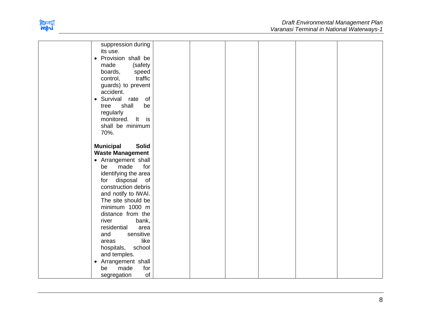

| suppression during               |  |  |  |
|----------------------------------|--|--|--|
| its use.                         |  |  |  |
| • Provision shall be             |  |  |  |
| made<br>(safety                  |  |  |  |
| boards,<br>speed                 |  |  |  |
| traffic<br>control,              |  |  |  |
| guards) to prevent               |  |  |  |
| accident.                        |  |  |  |
| • Survival rate<br>of            |  |  |  |
| shall<br>be<br>tree              |  |  |  |
| regularly                        |  |  |  |
| monitored. It<br>is              |  |  |  |
| shall be minimum                 |  |  |  |
| 70%.                             |  |  |  |
|                                  |  |  |  |
| <b>Municipal</b><br><b>Solid</b> |  |  |  |
| <b>Waste Management</b>          |  |  |  |
| • Arrangement shall              |  |  |  |
| for<br>be<br>made                |  |  |  |
| identifying the area             |  |  |  |
| disposal<br>of<br>for            |  |  |  |
| construction debris              |  |  |  |
| and notify to IWAI.              |  |  |  |
| The site should be               |  |  |  |
| minimum 1000 m                   |  |  |  |
| distance from the                |  |  |  |
| river<br>bank,                   |  |  |  |
| residential<br>area              |  |  |  |
| sensitive<br>and                 |  |  |  |
| like<br>areas                    |  |  |  |
| school<br>hospitals,             |  |  |  |
| and temples.                     |  |  |  |
| • Arrangement shall              |  |  |  |
| made<br>for<br>be                |  |  |  |
| of<br>segregation                |  |  |  |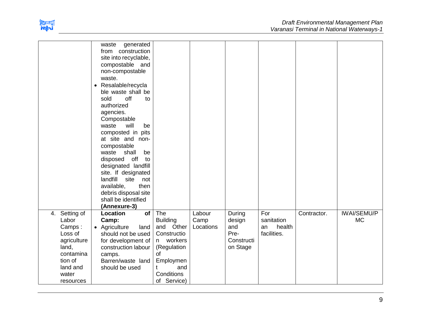

|                                                                                                                                  | waste<br>generated<br>from construction<br>site into recyclable,<br>compostable and<br>non-compostable<br>waste.<br>Resalable/recycla<br>$\bullet$<br>ble waste shall be<br>off<br>sold<br>to<br>authorized<br>agencies.<br>Compostable<br>waste<br>will<br>be<br>composted in pits<br>at site and non-<br>compostable<br>waste shall<br>be<br>off<br>disposed<br>to<br>designated landfill<br>site. If designated<br>landfill<br>site<br>not<br>available,<br>then<br>debris disposal site<br>shall be identified<br>(Annexure-3) |                                                                                                                                            |                             |                                                           |                                                  |             |                                 |
|----------------------------------------------------------------------------------------------------------------------------------|------------------------------------------------------------------------------------------------------------------------------------------------------------------------------------------------------------------------------------------------------------------------------------------------------------------------------------------------------------------------------------------------------------------------------------------------------------------------------------------------------------------------------------|--------------------------------------------------------------------------------------------------------------------------------------------|-----------------------------|-----------------------------------------------------------|--------------------------------------------------|-------------|---------------------------------|
| Setting of<br>4.<br>Labor<br>Camps:<br>Loss of<br>agriculture<br>land,<br>contamina<br>tion of<br>land and<br>water<br>resources | Location<br>of<br>Camp:<br>• Agriculture<br>land<br>should not be used<br>for development of<br>construction labour<br>camps.<br>Barren/waste land<br>should be used                                                                                                                                                                                                                                                                                                                                                               | The<br><b>Building</b><br>and Other<br>Constructio<br>n workers<br>(Regulation<br>of<br>Employmen<br>and<br>t<br>Conditions<br>of Service) | Labour<br>Camp<br>Locations | During<br>design<br>and<br>Pre-<br>Constructi<br>on Stage | For<br>sanitation<br>health<br>an<br>facilities. | Contractor. | <b>IWAI/SEMU/P</b><br><b>MC</b> |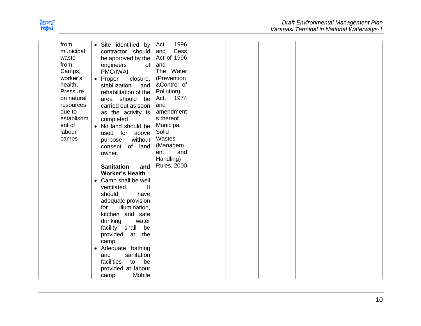

| from       | • Site identified by<br>Act         | 1996               |  |
|------------|-------------------------------------|--------------------|--|
| municipal  | contractor should<br>and            | Cess               |  |
| waste      | be approved by the                  | Act of 1996        |  |
| from       | of<br>and<br>engineers              |                    |  |
| Camps,     | PMC/IWAI                            | The Water          |  |
| worker's   | • Proper<br>closure,                | (Prevention        |  |
| health,    | stabilization<br>and                | &Control of        |  |
| Pressure   | Pollution)<br>rehabilitation of the |                    |  |
| on natural | Act,<br>area should                 | 1974               |  |
| resources  | be<br>and                           |                    |  |
|            | carried out as soon                 | amendment          |  |
| due to     | as the activity is                  |                    |  |
| establishm | s thereof.<br>completed             |                    |  |
| ent of     | Municipal<br>• No land should be    |                    |  |
| labour     | Solid<br>used for above             |                    |  |
| camps      | Wastes<br>without<br>purpose        |                    |  |
|            | (Managem<br>of land<br>consent      |                    |  |
|            | ent<br>owner.                       | and                |  |
|            | Handling)                           |                    |  |
|            | <b>Sanitation</b><br>and            | <b>Rules, 2000</b> |  |
|            | <b>Worker's Health:</b>             |                    |  |
|            | Camp shall be well<br>٠             |                    |  |
|            | ventilated.<br>It                   |                    |  |
|            | should<br>have                      |                    |  |
|            | adequate provision                  |                    |  |
|            | illumination,<br>for                |                    |  |
|            | kitchen and safe                    |                    |  |
|            |                                     |                    |  |
|            | drinking<br>water                   |                    |  |
|            | facility shall<br>be                |                    |  |
|            | provided<br>at the                  |                    |  |
|            | camp                                |                    |  |
|            | • Adequate bathing                  |                    |  |
|            | sanitation<br>and                   |                    |  |
|            | facilities<br>be<br>to              |                    |  |
|            | provided at labour                  |                    |  |
|            | Mobile<br>camp.                     |                    |  |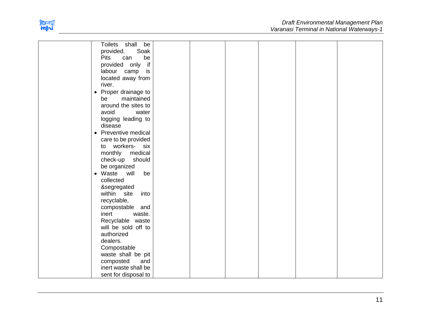

| Toilets shall<br>be              |  |  |  |
|----------------------------------|--|--|--|
| provided.<br>Soak                |  |  |  |
| <b>Pits</b><br>be<br>can         |  |  |  |
| if<br>provided only              |  |  |  |
| labour camp<br>is                |  |  |  |
| located away from                |  |  |  |
| river.                           |  |  |  |
| Proper drainage to<br>$\bullet$  |  |  |  |
| maintained<br>be                 |  |  |  |
| around the sites to              |  |  |  |
| avoid<br>water                   |  |  |  |
| logging leading to               |  |  |  |
| disease                          |  |  |  |
| • Preventive medical             |  |  |  |
| care to be provided              |  |  |  |
| workers- six<br>to               |  |  |  |
| medical<br>monthly               |  |  |  |
| should<br>check-up               |  |  |  |
| be organized                     |  |  |  |
| will<br>Waste<br>be<br>$\bullet$ |  |  |  |
| collected                        |  |  |  |
| &segregated                      |  |  |  |
| within site<br>into              |  |  |  |
| recyclable,                      |  |  |  |
| compostable and                  |  |  |  |
| inert<br>waste.                  |  |  |  |
| Recyclable waste                 |  |  |  |
| will be sold off to              |  |  |  |
| authorized                       |  |  |  |
| dealers.                         |  |  |  |
| Compostable                      |  |  |  |
| waste shall be pit               |  |  |  |
| composted<br>and                 |  |  |  |
| inert waste shall be             |  |  |  |
| sent for disposal to             |  |  |  |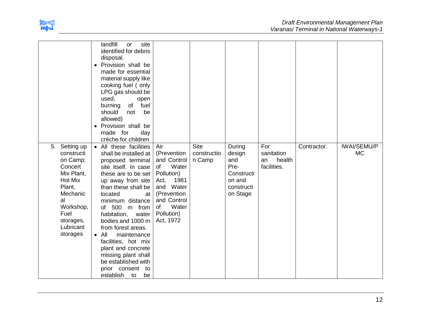

| 5. Setting up       | landfill<br>site<br>or<br>identified for debris<br>disposal.<br>Provision shall be<br>$\bullet$<br>made for essential<br>material supply like<br>cooking fuel (only<br>LPG gas should be<br>used,<br>open<br>of fuel<br>burning<br>should<br>not<br>be<br>allowed)<br>Provision shall be<br>$\bullet$<br>made for<br>day<br>crèche for children<br>• All these facilities | Air                        | <b>Site</b> | During                 | For                         | Contractor. | <b>IWAI/SEMU/P</b> |
|---------------------|---------------------------------------------------------------------------------------------------------------------------------------------------------------------------------------------------------------------------------------------------------------------------------------------------------------------------------------------------------------------------|----------------------------|-------------|------------------------|-----------------------------|-------------|--------------------|
| constructi          | shall be installed at                                                                                                                                                                                                                                                                                                                                                     | (Prevention                | constructio | design                 | sanitation                  |             | <b>MC</b>          |
| on Camp:<br>Concert | proposed terminal<br>site itself. In case                                                                                                                                                                                                                                                                                                                                 | and Control<br>Water<br>of | n Camp      | and<br>Pre-            | health<br>an<br>facilities. |             |                    |
| Mix Plant,          | these are to be set                                                                                                                                                                                                                                                                                                                                                       | Pollution)                 |             | Constructi             |                             |             |                    |
| <b>Hot Mix</b>      | up away from site                                                                                                                                                                                                                                                                                                                                                         | 1981<br>Act,               |             | on and                 |                             |             |                    |
| Plant,<br>Mechanic  | than these shall be<br>located<br>at                                                                                                                                                                                                                                                                                                                                      | and Water<br>(Prevention   |             | constructi<br>on Stage |                             |             |                    |
| al                  | minimum distance                                                                                                                                                                                                                                                                                                                                                          | and Control                |             |                        |                             |             |                    |
| Workshop,           | of 500<br>m from                                                                                                                                                                                                                                                                                                                                                          | Water<br>of                |             |                        |                             |             |                    |
| Fuel<br>storages,   | habitation,<br>water<br>bodies and 1000 m                                                                                                                                                                                                                                                                                                                                 | Pollution)<br>Act, 1972    |             |                        |                             |             |                    |
| Lubricant           | from forest areas.                                                                                                                                                                                                                                                                                                                                                        |                            |             |                        |                             |             |                    |
| storages            | $\bullet$ All<br>maintenance                                                                                                                                                                                                                                                                                                                                              |                            |             |                        |                             |             |                    |
|                     | facilities, hot mix                                                                                                                                                                                                                                                                                                                                                       |                            |             |                        |                             |             |                    |
|                     | plant and concrete<br>missing plant shall                                                                                                                                                                                                                                                                                                                                 |                            |             |                        |                             |             |                    |
|                     | be established with                                                                                                                                                                                                                                                                                                                                                       |                            |             |                        |                             |             |                    |
|                     | prior consent<br>to                                                                                                                                                                                                                                                                                                                                                       |                            |             |                        |                             |             |                    |
|                     | establish<br>be<br>to                                                                                                                                                                                                                                                                                                                                                     |                            |             |                        |                             |             |                    |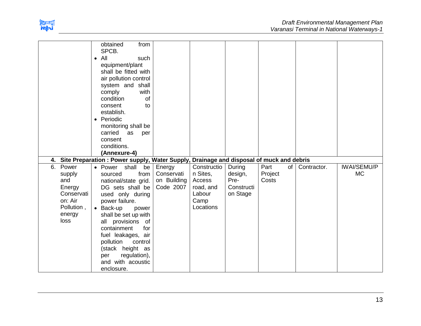

|                                                                                              | from<br>obtained<br>SPCB.<br>All<br>such<br>$\bullet$<br>equipment/plant<br>shall be fitted with<br>air pollution control<br>system and shall<br>with<br>comply<br>of<br>condition<br>consent<br>to<br>establish.<br>• Periodic<br>monitoring shall be<br>carried<br>as<br>per<br>consent<br>conditions.                        |                                                  |                                                                               |                                                     |                          |             |                                 |
|----------------------------------------------------------------------------------------------|---------------------------------------------------------------------------------------------------------------------------------------------------------------------------------------------------------------------------------------------------------------------------------------------------------------------------------|--------------------------------------------------|-------------------------------------------------------------------------------|-----------------------------------------------------|--------------------------|-------------|---------------------------------|
|                                                                                              | (Annexure-4)                                                                                                                                                                                                                                                                                                                    |                                                  |                                                                               |                                                     |                          |             |                                 |
| 4.                                                                                           | Site Preparation: Power supply, Water Supply, Drainage and disposal of muck and debris                                                                                                                                                                                                                                          |                                                  |                                                                               |                                                     | $of \mid$                |             |                                 |
| 6. Power<br>supply<br>and<br>Energy<br>Conservati<br>on: Air<br>Pollution,<br>energy<br>loss | • Power shall<br>be<br>from<br>sourced<br>national/state grid.<br>DG sets shall be<br>used only during<br>power failure.<br>• Back-up<br>power<br>shall be set up with<br>all provisions of<br>for<br>containment<br>fuel leakages, air<br>pollution<br>control<br>(stack height as<br>regulation),<br>per<br>and with acoustic | Energy<br>Conservati<br>on Building<br>Code 2007 | Constructio<br>n Sites,<br>Access<br>road, and<br>Labour<br>Camp<br>Locations | During<br>design,<br>Pre-<br>Constructi<br>on Stage | Part<br>Project<br>Costs | Contractor. | <b>IWAI/SEMU/P</b><br><b>MC</b> |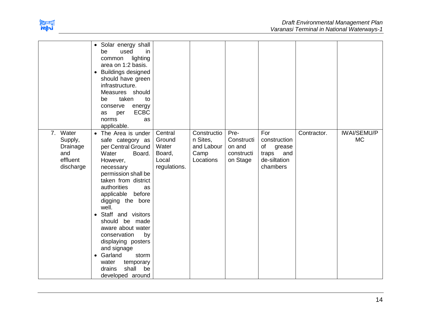

|                                                                 | • Solar energy shall<br>be<br>used<br>in<br>lighting<br>common<br>area on 1:2 basis.<br><b>Buildings designed</b><br>$\bullet$<br>should have green<br>infrastructure.<br>Measures should<br>taken<br>be<br>to<br>conserve<br>energy<br><b>ECBC</b><br>per<br>as<br>norms<br>as<br>applicable.                                                                                                                                                               |                                                               |                                                            |                                                        |                                                                              |             |                                 |
|-----------------------------------------------------------------|--------------------------------------------------------------------------------------------------------------------------------------------------------------------------------------------------------------------------------------------------------------------------------------------------------------------------------------------------------------------------------------------------------------------------------------------------------------|---------------------------------------------------------------|------------------------------------------------------------|--------------------------------------------------------|------------------------------------------------------------------------------|-------------|---------------------------------|
| 7. Water<br>Supply,<br>Drainage<br>and<br>effluent<br>discharge | • The Area is under<br>safe category as<br>per Central Ground<br>Water<br>Board.<br>However,<br>necessary<br>permission shall be<br>taken from district<br>authorities<br>as<br>applicable before<br>digging the bore<br>well.<br>Staff and visitors<br>$\bullet$<br>should be made<br>aware about water<br>conservation<br>by<br>displaying posters<br>and signage<br>• Garland<br>storm<br>water<br>temporary<br>shall<br>drains<br>be<br>developed around | Central<br>Ground<br>Water<br>Board,<br>Local<br>regulations. | Constructio<br>n Sites,<br>and Labour<br>Camp<br>Locations | Pre-<br>Constructi<br>on and<br>constructi<br>on Stage | For<br>construction<br>of<br>grease<br>traps and<br>de-siltation<br>chambers | Contractor. | <b>IWAI/SEMU/P</b><br><b>MC</b> |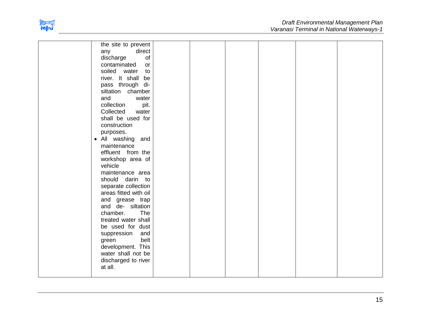

| the site to prevent   |  |  |  |
|-----------------------|--|--|--|
| direct<br>any         |  |  |  |
| of<br>discharge       |  |  |  |
| contaminated<br>or    |  |  |  |
| soiled<br>water<br>to |  |  |  |
| river. It shall<br>be |  |  |  |
| pass through di-      |  |  |  |
| siltation chamber     |  |  |  |
| and<br>water          |  |  |  |
| collection<br>pit.    |  |  |  |
| Collected<br>water    |  |  |  |
| shall be used for     |  |  |  |
| construction          |  |  |  |
| purposes.             |  |  |  |
| • All washing<br>and  |  |  |  |
| maintenance           |  |  |  |
| effluent from the     |  |  |  |
| workshop area of      |  |  |  |
| vehicle               |  |  |  |
| maintenance area      |  |  |  |
| should<br>darin to    |  |  |  |
| separate collection   |  |  |  |
| areas fitted with oil |  |  |  |
| and grease trap       |  |  |  |
| and de- siltation     |  |  |  |
| chamber.<br>The       |  |  |  |
| treated water shall   |  |  |  |
| be used for dust      |  |  |  |
| suppression<br>and    |  |  |  |
| belt<br>green         |  |  |  |
| development. This     |  |  |  |
| water shall not be    |  |  |  |
| discharged to river   |  |  |  |
| at all.               |  |  |  |
|                       |  |  |  |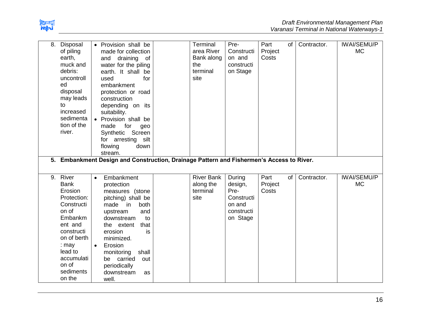

| 8. | Disposal<br>of piling<br>earth,<br>muck and<br>debris:<br>uncontroll<br>ed<br>disposal<br>may leads<br>to<br>increased<br>sedimenta<br>tion of the<br>river.                                 | • Provision shall be<br>made for collection<br>and draining of<br>water for the piling<br>earth. It shall be<br>for<br>used<br>embankment<br>protection or road<br>construction<br>depending on its<br>suitability.<br>• Provision shall be<br>made<br>for<br>geo<br>Screen<br>Synthetic<br>for arresting silt<br>flowing<br>down<br>stream.<br>5. Embankment Design and Construction, Drainage Pattern and Fishermen's Access to River. | Terminal<br>area River<br>Bank along<br>the<br>terminal<br>site | Pre-<br>Constructi<br>on and<br>constructi<br>on Stage                      | Part<br>Project<br>Costs | of I | Contractor. | <b>IWAI/SEMU/P</b><br><b>MC</b> |
|----|----------------------------------------------------------------------------------------------------------------------------------------------------------------------------------------------|------------------------------------------------------------------------------------------------------------------------------------------------------------------------------------------------------------------------------------------------------------------------------------------------------------------------------------------------------------------------------------------------------------------------------------------|-----------------------------------------------------------------|-----------------------------------------------------------------------------|--------------------------|------|-------------|---------------------------------|
| 9. | River<br><b>Bank</b><br>Erosion<br>Protection:<br>Constructi<br>on of<br>Embankm<br>ent and<br>constructi<br>on of berth<br>$:$ may<br>lead to<br>accumulati<br>on of<br>sediments<br>on the | Embankment<br>$\bullet$<br>protection<br>measures (stone<br>pitching) shall be<br>made<br>both<br>in<br>upstream<br>and<br>downstream<br>to<br>that<br>the extent<br>erosion<br>is<br>minimized.<br>Erosion<br>$\bullet$<br>monitoring<br>shall<br>be carried<br>out<br>periodically<br>downstream<br>as<br>well.                                                                                                                        | <b>River Bank</b><br>along the<br>terminal<br>site              | During<br>design,<br>Pre-<br>Constructi<br>on and<br>constructi<br>on Stage | Part<br>Project<br>Costs | of   | Contractor. | <b>IWAI/SEMU/P</b><br><b>MC</b> |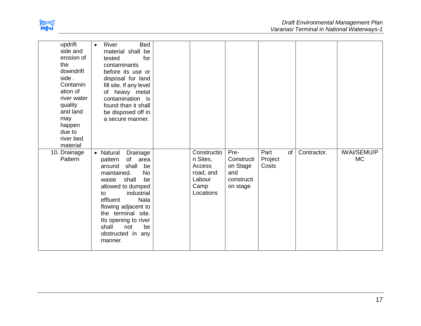

| updrift<br>side and<br>erosion of<br>the<br>downdrift<br>side.<br>Contamin<br>ation of<br>river water<br>quality<br>and land<br>may<br>happen<br>due to<br>river bed<br>material | Bed<br>River<br>$\bullet$<br>material shall be<br>tested<br>for<br>contaminants<br>before its use or<br>disposal for land<br>fill site. If any level<br>of heavy metal<br>contamination is<br>found than it shall<br>be disposed off in<br>a secure manner.                                                             |                                                                               |                                                                 |                                |             |                                 |
|----------------------------------------------------------------------------------------------------------------------------------------------------------------------------------|-------------------------------------------------------------------------------------------------------------------------------------------------------------------------------------------------------------------------------------------------------------------------------------------------------------------------|-------------------------------------------------------------------------------|-----------------------------------------------------------------|--------------------------------|-------------|---------------------------------|
| 10. Drainage<br>Pattern                                                                                                                                                          | • Natural<br>Drainage<br>of area<br>pattern<br>shall<br>around<br>be<br>maintained.<br><b>No</b><br>be<br>shall<br>waste<br>allowed to dumped<br>industrial<br>to<br>effluent<br><b>Nala</b><br>flowing adjacent to<br>the terminal site.<br>Its opening to river<br>shall<br>be<br>not<br>obstructed in any<br>manner. | Constructio<br>n Sites,<br>Access<br>road, and<br>Labour<br>Camp<br>Locations | Pre-<br>Constructi<br>on Stage<br>and<br>constructi<br>on stage | Part<br>of<br>Project<br>Costs | Contractor. | <b>IWAI/SEMU/P</b><br><b>MC</b> |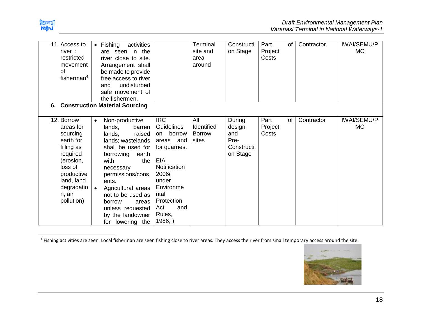

| 11. Access to<br>river:<br>restricted<br>movement<br>of<br>fisherman $4$<br>6.                                                                                       | $\bullet$ Fishing<br>activities<br>are seen in the<br>river close to site.<br>Arrangement shall<br>be made to provide<br>free access to river<br>undisturbed<br>and<br>safe movement of<br>the fishermen.<br><b>Construction Material Sourcing</b>                                                                                  |                                                                                                                                                                                         | Terminal<br>site and<br>area<br>around      | Constructi<br>on Stage                                    | Part<br>Project<br>Costs | of | Contractor. | <b>IWAI/SEMU/P</b><br><b>MC</b> |
|----------------------------------------------------------------------------------------------------------------------------------------------------------------------|-------------------------------------------------------------------------------------------------------------------------------------------------------------------------------------------------------------------------------------------------------------------------------------------------------------------------------------|-----------------------------------------------------------------------------------------------------------------------------------------------------------------------------------------|---------------------------------------------|-----------------------------------------------------------|--------------------------|----|-------------|---------------------------------|
| 12. Borrow<br>areas for<br>sourcing<br>earth for<br>filling as<br>required<br>(erosion,<br>loss of<br>productive<br>land, land<br>degradatio<br>n, air<br>pollution) | Non-productive<br>$\bullet$<br>lands,<br>barren<br>lands,<br>raised<br>lands; wastelands<br>shall be used for<br>borrowing<br>earth<br>with<br>the<br>necessary<br>permissions/cons<br>ents.<br>Agricultural areas<br>$\bullet$<br>not to be used as<br>borrow<br>areas<br>unless requested<br>by the landowner<br>for lowering the | <b>IRC</b><br>Guidelines<br>borrow<br>on<br>areas and<br>for quarries.<br>EIA<br>Notification<br>2006(<br>under<br>Environme<br>ntal<br>Protection<br>Act<br>and<br>Rules,<br>$1986;$ ) | All<br>Identified<br><b>Borrow</b><br>sites | During<br>design<br>and<br>Pre-<br>Constructi<br>on Stage | Part<br>Project<br>Costs | of | Contractor  | <b>IWAI/SEMU/P</b><br><b>MC</b> |

 4 Fishing activities are seen. Local fisherman are seen fishing close to river areas. They access the river from small temporary access around the site.

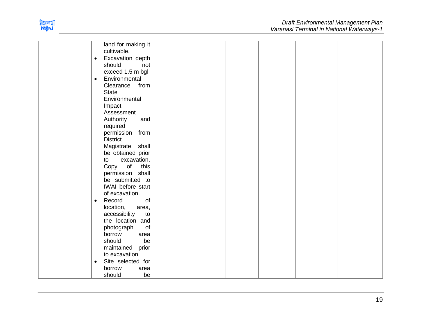

| land for making it             |  |
|--------------------------------|--|
| cultivable.                    |  |
| Excavation depth<br>$\bullet$  |  |
| should<br>not                  |  |
| exceed 1.5 m bgl               |  |
| Environmental<br>$\bullet$     |  |
| Clearance<br>from              |  |
| <b>State</b>                   |  |
| Environmental                  |  |
| Impact                         |  |
| Assessment                     |  |
| Authority<br>and               |  |
| required                       |  |
| permission from                |  |
| <b>District</b>                |  |
| Magistrate shall               |  |
| be obtained prior              |  |
| excavation.<br>to              |  |
| Copy of this                   |  |
| permission shall               |  |
| be submitted to                |  |
| IWAI before start              |  |
| of excavation.                 |  |
| Record<br>of<br>$\bullet$      |  |
| location,<br>area,             |  |
| accessibility<br>to            |  |
| the location and               |  |
| of<br>photograph               |  |
| borrow<br>area                 |  |
| should<br>be                   |  |
| maintained prior               |  |
| to excavation                  |  |
| Site selected for<br>$\bullet$ |  |
| borrow<br>area                 |  |
| be<br>should                   |  |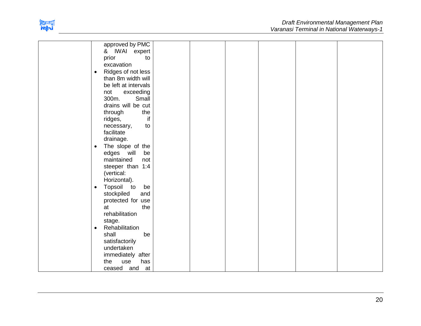

| approved by PMC                                        |  |  |  |
|--------------------------------------------------------|--|--|--|
| & IWAI expert                                          |  |  |  |
| prior<br>to                                            |  |  |  |
| excavation                                             |  |  |  |
| Ridges of not less<br>$\bullet$                        |  |  |  |
| than 8m width will                                     |  |  |  |
| be left at intervals                                   |  |  |  |
| not<br>exceeding                                       |  |  |  |
| Small<br>300m.                                         |  |  |  |
| drains will be cut                                     |  |  |  |
| through<br>the                                         |  |  |  |
| if<br>ridges,                                          |  |  |  |
| necessary,<br>to                                       |  |  |  |
| facilitate                                             |  |  |  |
| drainage.                                              |  |  |  |
| The slope of the<br>$\bullet$                          |  |  |  |
| edges will<br>be                                       |  |  |  |
| maintained<br>not                                      |  |  |  |
| steeper than 1:4                                       |  |  |  |
| (vertical:                                             |  |  |  |
| Horizontal).                                           |  |  |  |
| Topsoil<br>$\overline{\mathsf{to}}$<br>be<br>$\bullet$ |  |  |  |
| stockpiled<br>and                                      |  |  |  |
| protected for use                                      |  |  |  |
| the<br>at                                              |  |  |  |
| rehabilitation                                         |  |  |  |
| stage.                                                 |  |  |  |
| Rehabilitation<br>٠                                    |  |  |  |
| shall<br>be                                            |  |  |  |
| satisfactorily                                         |  |  |  |
| undertaken                                             |  |  |  |
| immediately after                                      |  |  |  |
| has<br>the<br>use                                      |  |  |  |
| ceased and<br>at                                       |  |  |  |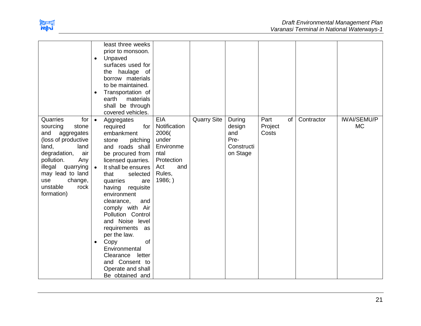

|                                                                                                                                                                                                                                            | least three weeks<br>prior to monsoon.<br>Unpaved<br>$\bullet$<br>surfaces used for<br>the haulage of<br>borrow materials<br>to be maintained.<br>Transportation of<br>$\bullet$<br>earth<br>materials<br>shall be through<br>covered vehicles.                                                                                                                                                                                                                                                               |                                                                                                                      |                    |                                                           |                                |            |                                 |
|--------------------------------------------------------------------------------------------------------------------------------------------------------------------------------------------------------------------------------------------|---------------------------------------------------------------------------------------------------------------------------------------------------------------------------------------------------------------------------------------------------------------------------------------------------------------------------------------------------------------------------------------------------------------------------------------------------------------------------------------------------------------|----------------------------------------------------------------------------------------------------------------------|--------------------|-----------------------------------------------------------|--------------------------------|------------|---------------------------------|
| Quarries<br>for<br>sourcing<br>stone<br>and<br>aggregates<br>(loss of productive<br>land,<br>land<br>degradation,<br>air<br>pollution.<br>Any<br>illegal quarrying<br>may lead to land<br>use<br>change,<br>unstable<br>rock<br>formation) | $\bullet$<br>Aggregates<br>required<br>for<br>embankment<br>stone<br>pitching<br>and roads shall<br>be procured from<br>licensed quarries.<br>It shall be ensures<br>$\bullet$<br>that<br>selected  <br>quarries<br>are<br>having<br>requisite<br>environment<br>clearance,<br>and<br>comply with Air<br>Pollution Control<br>and Noise level<br>requirements as<br>per the law.<br>Copy<br>of<br>$\bullet$<br>Environmental<br>Clearance<br>letter<br>and Consent to<br>Operate and shall<br>Be obtained and | <b>EIA</b><br>Notification<br>2006(<br>under<br>Environme<br>ntal<br>Protection<br>Act<br>and<br>Rules,<br>$1986;$ ) | <b>Quarry Site</b> | During<br>design<br>and<br>Pre-<br>Constructi<br>on Stage | Part<br>of<br>Project<br>Costs | Contractor | <b>IWAI/SEMU/P</b><br><b>MC</b> |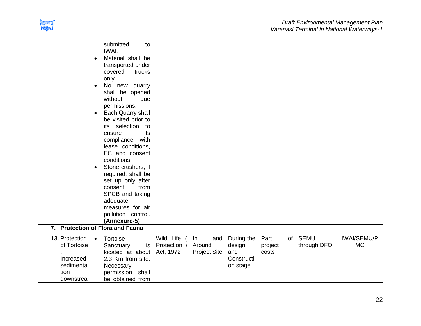

|                                                                              | submitted<br>to<br>IWAI.<br>Material shall be<br>$\bullet$<br>transported under<br>covered<br>trucks<br>only.<br>No new quarry<br>$\bullet$<br>shall be opened<br>without<br>due<br>permissions.<br>Each Quarry shall<br>$\bullet$<br>be visited prior to<br>its selection to<br>its<br>ensure<br>compliance<br>with<br>lease conditions,<br>EC and consent<br>conditions.<br>Stone crushers, if<br>$\bullet$<br>required, shall be<br>set up only after<br>from<br>consent<br>SPCB and taking<br>adequate<br>measures for air<br>pollution control.<br>(Annexure-5)<br>7. Protection of Flora and Fauna |                                        |                                            |                                                       |                                |                            |                                 |
|------------------------------------------------------------------------------|----------------------------------------------------------------------------------------------------------------------------------------------------------------------------------------------------------------------------------------------------------------------------------------------------------------------------------------------------------------------------------------------------------------------------------------------------------------------------------------------------------------------------------------------------------------------------------------------------------|----------------------------------------|--------------------------------------------|-------------------------------------------------------|--------------------------------|----------------------------|---------------------------------|
|                                                                              |                                                                                                                                                                                                                                                                                                                                                                                                                                                                                                                                                                                                          |                                        |                                            |                                                       |                                |                            |                                 |
| 13. Protection<br>of Tortoise<br>Increased<br>sedimenta<br>tion<br>downstrea | Tortoise<br>$\bullet$<br>Sanctuary<br>is<br>located at about<br>2.3 Km from site.<br>Necessary<br>permission shall<br>be obtained from                                                                                                                                                                                                                                                                                                                                                                                                                                                                   | Wild Life<br>Protection )<br>Act, 1972 | In<br>and<br>Around<br><b>Project Site</b> | During the<br>design<br>and<br>Constructi<br>on stage | Part<br>of<br>project<br>costs | <b>SEMU</b><br>through DFO | <b>IWAI/SEMU/P</b><br><b>MC</b> |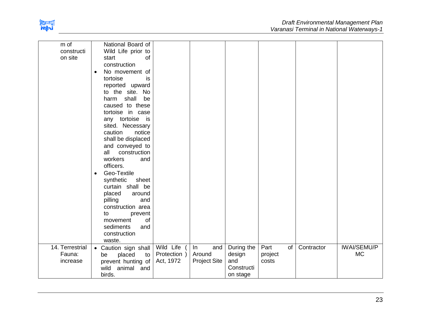

| m of            | National Board of           |              |                     |            |                    |            |                    |
|-----------------|-----------------------------|--------------|---------------------|------------|--------------------|------------|--------------------|
| constructi      | Wild Life prior to          |              |                     |            |                    |            |                    |
| on site         | of<br>start                 |              |                     |            |                    |            |                    |
|                 | construction                |              |                     |            |                    |            |                    |
|                 | No movement of<br>$\bullet$ |              |                     |            |                    |            |                    |
|                 | tortoise<br>is              |              |                     |            |                    |            |                    |
|                 | reported upward             |              |                     |            |                    |            |                    |
|                 | to the site. No             |              |                     |            |                    |            |                    |
|                 | shall<br>be<br>harm         |              |                     |            |                    |            |                    |
|                 | caused to these             |              |                     |            |                    |            |                    |
|                 | tortoise in case            |              |                     |            |                    |            |                    |
|                 | any tortoise is             |              |                     |            |                    |            |                    |
|                 | sited. Necessary            |              |                     |            |                    |            |                    |
|                 | caution<br>notice           |              |                     |            |                    |            |                    |
|                 | shall be displaced          |              |                     |            |                    |            |                    |
|                 | and conveyed to             |              |                     |            |                    |            |                    |
|                 | all<br>construction         |              |                     |            |                    |            |                    |
|                 | workers<br>and              |              |                     |            |                    |            |                    |
|                 | officers.                   |              |                     |            |                    |            |                    |
|                 | Geo-Textile                 |              |                     |            |                    |            |                    |
|                 | synthetic<br>sheet          |              |                     |            |                    |            |                    |
|                 | curtain shall be            |              |                     |            |                    |            |                    |
|                 | placed<br>around            |              |                     |            |                    |            |                    |
|                 | pilling<br>and              |              |                     |            |                    |            |                    |
|                 | construction area           |              |                     |            |                    |            |                    |
|                 | to<br>prevent               |              |                     |            |                    |            |                    |
|                 | of<br>movement              |              |                     |            |                    |            |                    |
|                 | sediments<br>and            |              |                     |            |                    |            |                    |
|                 | construction                |              |                     |            |                    |            |                    |
|                 | waste.                      |              |                     |            |                    |            |                    |
| 14. Terrestrial | • Caution sign shall        | Wild Life    | and<br>In           | During the | Part<br>$of \vert$ | Contractor | <b>IWAI/SEMU/P</b> |
| Fauna:          | placed<br>be<br>to          | Protection ) | Around              | design     | project            |            | <b>MC</b>          |
| increase        | prevent hunting of          | Act, 1972    | <b>Project Site</b> | and        | costs              |            |                    |
|                 | animal and<br>wild          |              |                     | Constructi |                    |            |                    |
|                 | birds.                      |              |                     | on stage   |                    |            |                    |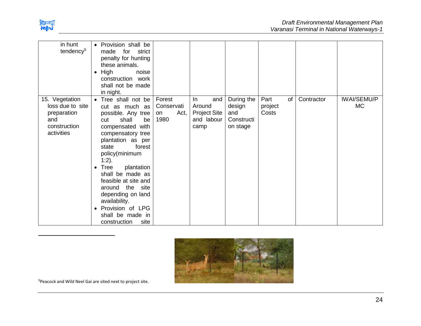

 $\overline{\phantom{a}}$ 

| in hunt<br>tendency <sup>5</sup>                                                       | • Provision shall be<br>made<br>for strict<br>penalty for hunting<br>these animals.<br>High<br>noise<br>$\bullet$<br>construction work<br>shall not be made<br>in night.                                                                                                                                                                                                                                              |                                            |                                                                   |                                                       |                                |            |                                 |
|----------------------------------------------------------------------------------------|-----------------------------------------------------------------------------------------------------------------------------------------------------------------------------------------------------------------------------------------------------------------------------------------------------------------------------------------------------------------------------------------------------------------------|--------------------------------------------|-------------------------------------------------------------------|-------------------------------------------------------|--------------------------------|------------|---------------------------------|
| 15. Vegetation<br>loss due to site<br>preparation<br>and<br>construction<br>activities | • Tree shall not be<br>cut as much as<br>possible. Any tree<br>shall<br>be<br>cut<br>compensated with<br>compensatory tree<br>plantation as per<br>forest<br>state<br>policy(minimum<br>$1:2$ ).<br>Tree<br>plantation<br>$\bullet$<br>shall be made as<br>feasible at site and<br>around the site<br>depending on land<br>availability.<br>Provision of LPG<br>$\bullet$<br>shall be made in<br>construction<br>site | Forest<br>Conservati<br>Act,<br>on<br>1980 | In.<br>and<br>Around<br><b>Project Site</b><br>and labour<br>camp | During the<br>design<br>and<br>Constructi<br>on stage | Part<br>of<br>project<br>Costs | Contractor | <b>IWAI/SEMU/P</b><br><b>MC</b> |



<sup>5</sup>Peacock and Wild Neel Gai are sited next to project site.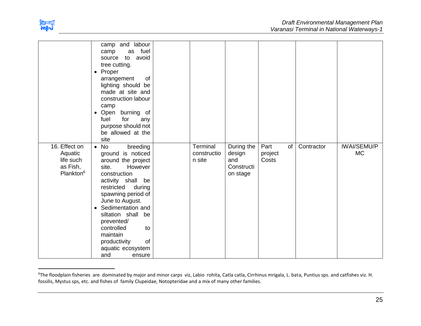

 $\overline{\phantom{a}}$ 

|                       | camp and labour                        |                       |               |                  |            |                    |
|-----------------------|----------------------------------------|-----------------------|---------------|------------------|------------|--------------------|
|                       | as fuel<br>camp                        |                       |               |                  |            |                    |
|                       | avoid<br>to<br>source                  |                       |               |                  |            |                    |
|                       | tree cutting.                          |                       |               |                  |            |                    |
|                       | • Proper<br>of                         |                       |               |                  |            |                    |
|                       | arrangement<br>lighting should be      |                       |               |                  |            |                    |
|                       | made at site and                       |                       |               |                  |            |                    |
|                       | construction labour                    |                       |               |                  |            |                    |
|                       | camp                                   |                       |               |                  |            |                    |
|                       | burning of<br>Open<br>$\bullet$        |                       |               |                  |            |                    |
|                       | for<br>fuel<br>any                     |                       |               |                  |            |                    |
|                       | purpose should not                     |                       |               |                  |            |                    |
|                       | be allowed at the                      |                       |               |                  |            |                    |
|                       | site                                   |                       |               |                  |            |                    |
| 16. Effect on         | $\bullet$ No<br>breeding               | Terminal              | During the    | Part<br>of       | Contractor | <b>IWAI/SEMU/P</b> |
| Aquatic<br>life such  | ground is noticed                      | constructio<br>n site | design<br>and | project<br>Costs |            | <b>MC</b>          |
| as Fish,              | around the project<br>However<br>site. |                       | Constructi    |                  |            |                    |
| Plankton <sup>6</sup> | construction                           |                       | on stage      |                  |            |                    |
|                       | activity shall be                      |                       |               |                  |            |                    |
|                       | restricted<br>during                   |                       |               |                  |            |                    |
|                       | spawning period of                     |                       |               |                  |            |                    |
|                       | June to August.                        |                       |               |                  |            |                    |
|                       | • Sedimentation and                    |                       |               |                  |            |                    |
|                       | siltation shall<br>be                  |                       |               |                  |            |                    |
|                       | prevented/                             |                       |               |                  |            |                    |
|                       | controlled<br>to                       |                       |               |                  |            |                    |
|                       | maintain                               |                       |               |                  |            |                    |
|                       | of<br>productivity                     |                       |               |                  |            |                    |
|                       | aquatic ecosystem                      |                       |               |                  |            |                    |
|                       | and<br>ensure                          |                       |               |                  |            |                    |

<sup>&</sup>lt;sup>6</sup>The floodplain fisheries are dominated by major and minor carps viz, Labio rohita, Catla catla, Cirrhinus mrigala, L. bata, Puntius sps. and catfishes viz. H. fossilis, Mystus sps, etc. and fishes of family Clupeidae, Notopteridae and a mix of many other families.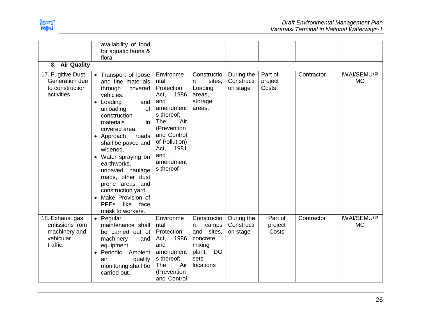

|                                                                             | availability of food                                                                                                                                                                                                                                                                 |                                                                                                                                                                                                 |                                                                                                           |                                      |                             |            |                                 |
|-----------------------------------------------------------------------------|--------------------------------------------------------------------------------------------------------------------------------------------------------------------------------------------------------------------------------------------------------------------------------------|-------------------------------------------------------------------------------------------------------------------------------------------------------------------------------------------------|-----------------------------------------------------------------------------------------------------------|--------------------------------------|-----------------------------|------------|---------------------------------|
|                                                                             | for aquatic fauna &                                                                                                                                                                                                                                                                  |                                                                                                                                                                                                 |                                                                                                           |                                      |                             |            |                                 |
|                                                                             | flora.                                                                                                                                                                                                                                                                               |                                                                                                                                                                                                 |                                                                                                           |                                      |                             |            |                                 |
| 8. Air Quality                                                              |                                                                                                                                                                                                                                                                                      |                                                                                                                                                                                                 |                                                                                                           |                                      |                             |            |                                 |
|                                                                             |                                                                                                                                                                                                                                                                                      |                                                                                                                                                                                                 |                                                                                                           |                                      |                             |            |                                 |
| 17. Fugitive Dust<br>Generation due<br>to construction<br>activities        | Transport of loose<br>and fine materials<br>through<br>covered<br>vehicles.<br>• Loading<br>and<br>of<br>unloading<br>construction<br>materials<br>in<br>covered area.<br>Approach<br>roads<br>shall be paved and<br>widened.<br>Water spraying on<br>earthworks,<br>unpaved haulage | Environme<br>ntal<br>Protection<br>1986<br>Act,<br>and<br>amendment<br>s thereof;<br>Air<br>The<br>(Prevention<br>and Control<br>of Pollution)<br>1981<br>Act,<br>and<br>amendment<br>s thereof | Constructio<br>sites,<br>n<br>Loading<br>areas,<br>storage<br>areas,                                      | During the<br>Constructi<br>on stage | Part of<br>project<br>Costs | Contractor | <b>IWAI/SEMU/P</b><br><b>MC</b> |
|                                                                             | roads, other dust<br>prone areas and<br>construction yard.<br>Make Provision of<br><b>PPEs</b><br>like face<br>mask to workers.                                                                                                                                                      |                                                                                                                                                                                                 |                                                                                                           |                                      |                             |            |                                 |
| 18. Exhaust gas<br>emissions from<br>machinery and<br>vehicular<br>traffic. | Regular<br>maintenance shall<br>be carried out of<br>machinery<br>and<br>equipment.<br>Periodic<br>Ambient<br>air<br>quality<br>monitoring shall be<br>carried out.                                                                                                                  | Environme<br>ntal<br>Protection<br>1986<br>Act,<br>and<br>amendment<br>s thereof;<br>Air<br><b>The</b><br>(Prevention<br>and Control                                                            | Constructio<br>camps<br>n<br>and sites,<br>concrete<br>mixing<br><b>DG</b><br>plant,<br>sets<br>locations | During the<br>Constructi<br>on stage | Part of<br>project<br>Costs | Contractor | <b>IWAI/SEMU/P</b><br><b>MC</b> |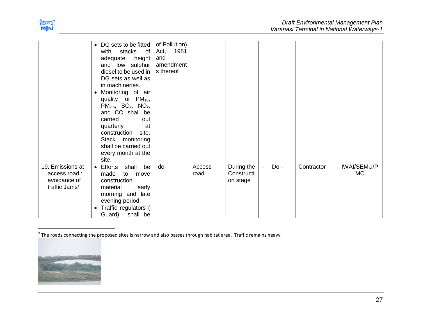

|                                                                               | • DG sets to be fitted<br>stacks<br>with<br>of <sub>1</sub><br>height<br>adequate<br>and low sulphur<br>diesel to be used in $ $<br>DG sets as well as<br>in machineries.<br>Monitoring of air<br>$\bullet$<br>quality for $PM_{10}$ ,<br>$PM2.5$ , SO <sub>x</sub> , NO <sub>x</sub> ,<br>and CO shall be<br>carried<br>out<br>quarterly<br>at<br>construction<br>site.<br>Stack monitoring<br>shall be carried out<br>every month at the<br>site. | of Pollution)<br>1981<br>Act,<br>and<br>amendment<br>s thereof |                |                                      |      |            |                                 |
|-------------------------------------------------------------------------------|-----------------------------------------------------------------------------------------------------------------------------------------------------------------------------------------------------------------------------------------------------------------------------------------------------------------------------------------------------------------------------------------------------------------------------------------------------|----------------------------------------------------------------|----------------|--------------------------------------|------|------------|---------------------------------|
| 19. Emissions at<br>access road:<br>avoidance of<br>traffic Jams <sup>7</sup> | Efforts<br>shall<br>be<br>$\bullet$<br>made<br>to<br>move<br>construction<br>material<br>early<br>morning and late<br>evening period.<br>Traffic regulators (<br>$\bullet$<br>Guard) shall be                                                                                                                                                                                                                                                       | -do-                                                           | Access<br>road | During the<br>Constructi<br>on stage | Do - | Contractor | <b>IWAI/SEMU/P</b><br><b>MC</b> |

 $7$  The roads connecting the proposed sites is narrow and also passes through habitat area. Traffic remains heavy.



 $\overline{\phantom{a}}$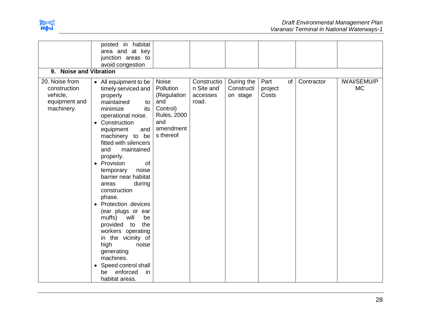

| 9. Noise and Vibration                                                    | posted in habitat<br>area and at key<br>junction areas to<br>avoid congestion                                                                                                                                                                                                                                                                                                                                                                                                                                                                                                                                                                    |                                                                                                             |                                                |                                      |                                |            |                                 |
|---------------------------------------------------------------------------|--------------------------------------------------------------------------------------------------------------------------------------------------------------------------------------------------------------------------------------------------------------------------------------------------------------------------------------------------------------------------------------------------------------------------------------------------------------------------------------------------------------------------------------------------------------------------------------------------------------------------------------------------|-------------------------------------------------------------------------------------------------------------|------------------------------------------------|--------------------------------------|--------------------------------|------------|---------------------------------|
| 20. Noise from<br>construction<br>vehicle,<br>equipment and<br>machinery. | • All equipment to be<br>timely serviced and<br>properly<br>maintained<br>to<br>minimize<br>its<br>operational noise.<br>Construction<br>$\bullet$<br>equipment<br>and<br>machinery to be<br>fitted with silencers<br>and<br>maintained<br>properly.<br>Provision<br>0f<br>$\bullet$<br>noise<br>temporary<br>barrier near habitat<br>during<br>areas<br>construction<br>phase.<br>Protection devices<br>$\bullet$<br>(ear plugs or ear<br>muffs)<br>will<br>be<br>the<br>provided<br>to<br>workers operating<br>in the vicinity of<br>high<br>noise<br>generating<br>machines.<br>Speed control shall<br>enforced<br>be<br>in<br>habitat areas. | Noise<br>Pollution<br>(Regulation<br>and<br>Control)<br><b>Rules, 2000</b><br>and<br>amendment<br>s thereof | Constructio<br>n Site and<br>accesses<br>road. | During the<br>Constructi<br>on stage | Part<br>of<br>project<br>Costs | Contractor | <b>IWAI/SEMU/P</b><br><b>MC</b> |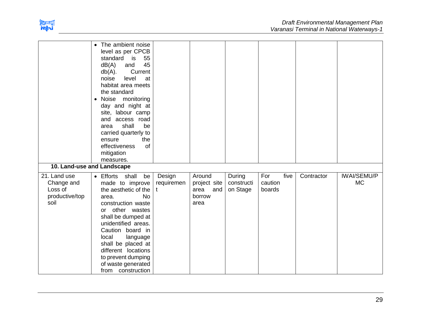

|                                                                 | The ambient noise<br>$\bullet$<br>level as per CPCB<br>55<br>standard<br>is<br>45<br>dB(A)<br>and<br>Current<br>$db(A)$ .<br>level<br>noise<br>at<br>habitat area meets<br>the standard<br>Noise monitoring<br>$\bullet$<br>day and night at<br>site, labour camp<br>access road<br>and<br>shall<br>be<br>area<br>carried quarterly to<br>the<br>ensure<br>effectiveness<br>of<br>mitigation<br>measures. |                           |                                                         |                                  |                          |      |            |                                 |
|-----------------------------------------------------------------|-----------------------------------------------------------------------------------------------------------------------------------------------------------------------------------------------------------------------------------------------------------------------------------------------------------------------------------------------------------------------------------------------------------|---------------------------|---------------------------------------------------------|----------------------------------|--------------------------|------|------------|---------------------------------|
| 10. Land-use and Landscape                                      |                                                                                                                                                                                                                                                                                                                                                                                                           |                           |                                                         |                                  |                          |      |            |                                 |
| 21. Land use<br>Change and<br>Loss of<br>productive/top<br>soil | • Efforts shall<br>be<br>made to improve<br>the aesthetic of the<br><b>No</b><br>area.<br>construction waste<br>other wastes<br>or<br>shall be dumped at<br>unidentified areas.<br>Caution board in<br>local<br>language<br>shall be placed at<br>different locations<br>to prevent dumping<br>of waste generated<br>from construction                                                                    | Design<br>requiremen<br>t | Around<br>project site<br>area<br>and<br>borrow<br>area | During<br>constructi<br>on Stage | For<br>caution<br>boards | five | Contractor | <b>IWAI/SEMU/P</b><br><b>MC</b> |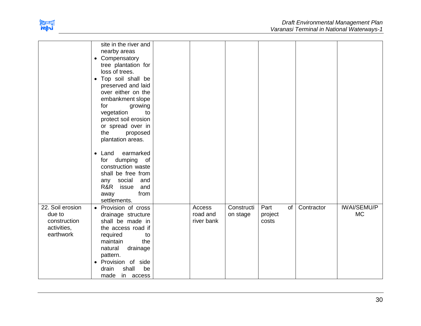

|                                                                        | site in the river and<br>nearby areas<br>• Compensatory<br>tree plantation for<br>loss of trees.<br>• Top soil shall be<br>preserved and laid<br>over either on the<br>embankment slope<br>for<br>growing<br>vegetation<br>to<br>protect soil erosion<br>or spread over in<br>the<br>proposed<br>plantation areas. |                                  |                        |                                |            |                                 |
|------------------------------------------------------------------------|--------------------------------------------------------------------------------------------------------------------------------------------------------------------------------------------------------------------------------------------------------------------------------------------------------------------|----------------------------------|------------------------|--------------------------------|------------|---------------------------------|
|                                                                        | earmarked<br>$\bullet$ Land<br>for dumping of<br>construction waste<br>shall be free from<br>social<br>and<br>any<br>R&R issue<br>and<br>from<br>away<br>settlements.                                                                                                                                              |                                  |                        |                                |            |                                 |
| 22. Soil erosion<br>due to<br>construction<br>activities,<br>earthwork | • Provision of cross<br>drainage structure<br>shall be made in<br>the access road if<br>required<br>to<br>the<br>maintain<br>drainage<br>natural<br>pattern.<br>· Provision of side<br>shall<br>drain<br>be<br>made<br>in access                                                                                   | Access<br>road and<br>river bank | Constructi<br>on stage | Part<br>of<br>project<br>costs | Contractor | <b>IWAI/SEMU/P</b><br><b>MC</b> |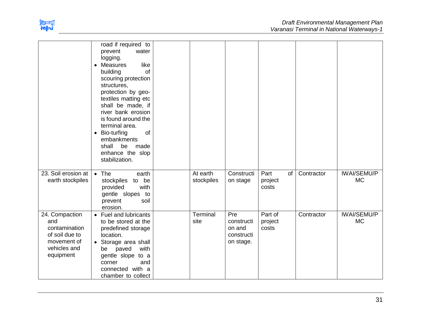

|                                                                                                      | road if required to<br>prevent<br>water<br>logging.<br>like<br><b>Measures</b><br>$\bullet$<br>of<br>building<br>scouring protection<br>structures,<br>protection by geo-<br>textiles matting etc<br>shall be made, if<br>river bank erosion<br>is found around the<br>terminal area.<br>of<br>Bio-turfing<br>$\bullet$<br>embankments<br>shall<br>be<br>made<br>enhance the slop<br>stabilization. |                        |                                                        |                                |            |                                 |
|------------------------------------------------------------------------------------------------------|-----------------------------------------------------------------------------------------------------------------------------------------------------------------------------------------------------------------------------------------------------------------------------------------------------------------------------------------------------------------------------------------------------|------------------------|--------------------------------------------------------|--------------------------------|------------|---------------------------------|
| 23. Soil erosion at<br>earth stockpiles                                                              | $\bullet$ The<br>earth<br>stockpiles to be<br>with<br>provided<br>gentle slopes to<br>prevent<br>soil<br>erosion.                                                                                                                                                                                                                                                                                   | At earth<br>stockpiles | Constructi<br>on stage                                 | Part<br>of<br>project<br>costs | Contractor | <b>IWAI/SEMU/P</b><br><b>MC</b> |
| 24. Compaction<br>and<br>contamination<br>of soil due to<br>movement of<br>vehicles and<br>equipment | • Fuel and lubricants<br>to be stored at the<br>predefined storage<br>location.<br>• Storage area shall<br>paved<br>with<br>be<br>gentle slope to a<br>corner<br>and<br>connected with a<br>chamber to collect                                                                                                                                                                                      | Terminal<br>site       | Pre<br>constructi<br>on and<br>constructi<br>on stage. | Part of<br>project<br>costs    | Contractor | <b>IWAI/SEMU/P</b><br><b>MC</b> |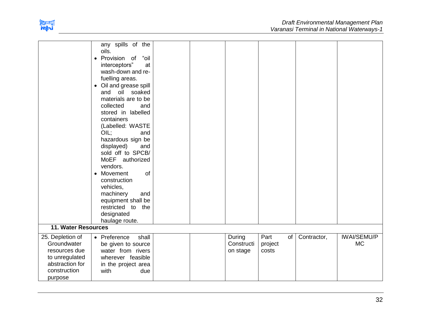

|                                                                                                                  | any spills of the<br>oils.<br>"oil<br>• Provision of<br>interceptors"<br>at<br>wash-down and re-<br>fuelling areas.<br>• Oil and grease spill<br>oil soaked<br>and<br>materials are to be<br>collected<br>and<br>stored in labelled<br>containers<br>(Labelled: WASTE<br>OIL;<br>and<br>hazardous sign be<br>displayed)<br>and<br>sold off to SPCB/<br>MoEF authorized<br>vendors.<br>• Movement<br>of<br>construction<br>vehicles,<br>machinery<br>and<br>equipment shall be<br>restricted to the<br>designated |  |                                  |                                |             |                                 |
|------------------------------------------------------------------------------------------------------------------|------------------------------------------------------------------------------------------------------------------------------------------------------------------------------------------------------------------------------------------------------------------------------------------------------------------------------------------------------------------------------------------------------------------------------------------------------------------------------------------------------------------|--|----------------------------------|--------------------------------|-------------|---------------------------------|
|                                                                                                                  | haulage route.                                                                                                                                                                                                                                                                                                                                                                                                                                                                                                   |  |                                  |                                |             |                                 |
| 11. Water Resources                                                                                              |                                                                                                                                                                                                                                                                                                                                                                                                                                                                                                                  |  |                                  |                                |             |                                 |
| 25. Depletion of<br>Groundwater<br>resources due<br>to unregulated<br>abstraction for<br>construction<br>purpose | • Preference<br>shall<br>be given to source<br>water from rivers<br>wherever feasible<br>in the project area<br>with<br>due                                                                                                                                                                                                                                                                                                                                                                                      |  | During<br>Constructi<br>on stage | Part<br>of<br>project<br>costs | Contractor, | <b>IWAI/SEMU/P</b><br><b>MC</b> |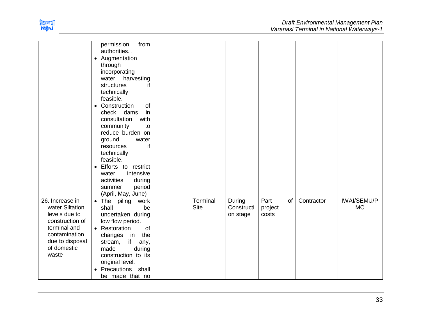

|                                                                                                                                                    | permission<br>from<br>authorities<br>• Augmentation<br>through<br>incorporating<br>water<br>harvesting<br>if<br>structures<br>technically<br>feasible.<br>Construction<br>of<br>$\bullet$<br>in<br>dams<br>check<br>consultation<br>with<br>community<br>to<br>reduce burden on<br>ground<br>water<br>if<br>resources<br>technically<br>feasible.<br>Efforts to restrict<br>$\bullet$<br>intensive<br>water<br>activities<br>during<br>period<br>summer<br>(April, May, June) |                         |                                  |                                |            |                                 |
|----------------------------------------------------------------------------------------------------------------------------------------------------|-------------------------------------------------------------------------------------------------------------------------------------------------------------------------------------------------------------------------------------------------------------------------------------------------------------------------------------------------------------------------------------------------------------------------------------------------------------------------------|-------------------------|----------------------------------|--------------------------------|------------|---------------------------------|
| 26. Increase in<br>water Siltation<br>levels due to<br>construction of<br>terminal and<br>contamination<br>due to disposal<br>of domestic<br>waste | $\bullet$ The<br>piling work<br>shall<br>be<br>undertaken during<br>low flow period.<br>• Restoration<br>of<br>changes in<br>the<br>if<br>stream,<br>any,<br>made<br>during<br>construction to its<br>original level.<br>Precautions shall<br>$\bullet$<br>be made that no                                                                                                                                                                                                    | Terminal<br><b>Site</b> | During<br>Constructi<br>on stage | Part<br>of<br>project<br>costs | Contractor | <b>IWAI/SEMU/P</b><br><b>MC</b> |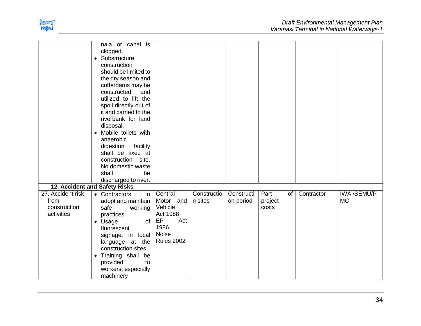

|                                                         | nala or canal is<br>clogged.<br>Substructure<br>$\bullet$<br>construction<br>should be limited to<br>the dry season and<br>cofferdams may be<br>constructed<br>and<br>utilized to lift the<br>spoil directly out of<br>it and carried to the<br>riverbank for land<br>disposal.<br>• Mobile toilets with<br>anaerobic<br>digestion<br>facility<br>shall be fixed at<br>construction site.<br>No domestic waste<br>shall<br>be<br>discharged to river. |                                                                                                       |                        |                         |                                |            |                                 |
|---------------------------------------------------------|-------------------------------------------------------------------------------------------------------------------------------------------------------------------------------------------------------------------------------------------------------------------------------------------------------------------------------------------------------------------------------------------------------------------------------------------------------|-------------------------------------------------------------------------------------------------------|------------------------|-------------------------|--------------------------------|------------|---------------------------------|
|                                                         | 12. Accident and Safety Risks                                                                                                                                                                                                                                                                                                                                                                                                                         |                                                                                                       |                        |                         |                                |            |                                 |
| 27. Accident risk<br>from<br>construction<br>activities | • Contractors<br>to<br>adopt and maintain<br>safe<br>working<br>practices.<br>of  <br>• Usage<br>fluorescent<br>signage, in local<br>language at the<br>construction sites<br>• Training shall be<br>provided<br>to<br>workers, especially<br>machinery                                                                                                                                                                                               | Central<br>Motor and<br>Vehicle<br><b>Act 1988</b><br>EP<br>Act<br>1986<br>Noise<br><b>Rules 2002</b> | Constructio<br>n sites | Constructi<br>on period | Part<br>of<br>project<br>costs | Contractor | <b>IWAI/SEMU/P</b><br><b>MC</b> |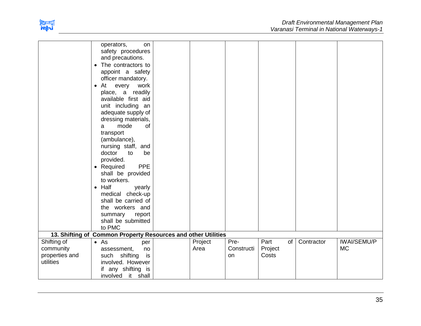

|                                                         | operators,<br>on<br>safety procedures<br>and precautions.<br>• The contractors to<br>appoint a safety<br>officer mandatory.<br>At<br>every work<br>$\bullet$<br>place, a readily<br>available first aid<br>unit including an<br>adequate supply of<br>dressing materials,<br>mode<br>of<br>a<br>transport<br>(ambulance),<br>nursing staff, and<br>doctor<br>to<br>be<br>provided.<br><b>PPE</b><br>• Required<br>shall be provided<br>to workers.<br>$\bullet$ Half<br>yearly<br>medical check-up<br>shall be carried of<br>the workers and<br>summary<br>report<br>shall be submitted<br>to PMC |                 |                          |                                |            |                                 |
|---------------------------------------------------------|---------------------------------------------------------------------------------------------------------------------------------------------------------------------------------------------------------------------------------------------------------------------------------------------------------------------------------------------------------------------------------------------------------------------------------------------------------------------------------------------------------------------------------------------------------------------------------------------------|-----------------|--------------------------|--------------------------------|------------|---------------------------------|
|                                                         | 13. Shifting of Common Property Resources and other Utilities                                                                                                                                                                                                                                                                                                                                                                                                                                                                                                                                     |                 |                          |                                |            |                                 |
| Shifting of<br>community<br>properties and<br>utilities | $\bullet$ As<br>per<br>assessment,<br>no<br>such shifting<br>is<br>involved. However<br>if any shifting is<br>it shall<br>involved                                                                                                                                                                                                                                                                                                                                                                                                                                                                | Project<br>Area | Pre-<br>Constructi<br>on | Part<br>of<br>Project<br>Costs | Contractor | <b>IWAI/SEMU/P</b><br><b>MC</b> |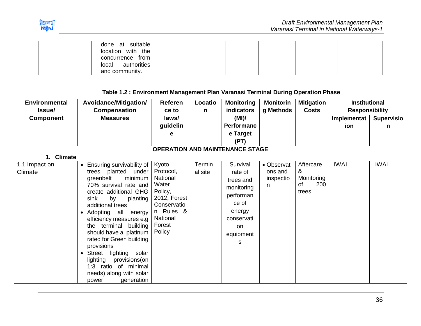

| done at suitable<br>$location$ with the |  |  |
|-----------------------------------------|--|--|
| concurrence from                        |  |  |
| authorities<br>local<br>and community.  |  |  |

**Table 1.2 : Environment Management Plan Varanasi Terminal During Operation Phase**

| <b>Environmental</b>       | Avoidance/Mitigation/                                                                                                                                                                                                                                                                                                                                                                                                                                                | <b>Referen</b>                                                                                                                 | Locatio           | <b>Monitoring</b><br><b>indicators</b>                                                                               | <b>Monitorin</b>                         | <b>Mitigation</b>                                  | <b>Institutional</b>                        |                        |
|----------------------------|----------------------------------------------------------------------------------------------------------------------------------------------------------------------------------------------------------------------------------------------------------------------------------------------------------------------------------------------------------------------------------------------------------------------------------------------------------------------|--------------------------------------------------------------------------------------------------------------------------------|-------------------|----------------------------------------------------------------------------------------------------------------------|------------------------------------------|----------------------------------------------------|---------------------------------------------|------------------------|
| Issue/<br><b>Component</b> | <b>Compensation</b><br><b>Measures</b>                                                                                                                                                                                                                                                                                                                                                                                                                               | ce to<br>laws/<br>guidelin<br>е                                                                                                | n                 | (MI)<br><b>Performanc</b><br>e Target<br>(PT)                                                                        | g Methods                                | <b>Costs</b>                                       | <b>Responsibility</b><br>Implementat<br>ion | <b>Supervisio</b><br>n |
|                            |                                                                                                                                                                                                                                                                                                                                                                                                                                                                      |                                                                                                                                |                   | <b>OPERATION AND MAINTENANCE STAGE</b>                                                                               |                                          |                                                    |                                             |                        |
| 1. Climate                 |                                                                                                                                                                                                                                                                                                                                                                                                                                                                      |                                                                                                                                |                   |                                                                                                                      |                                          |                                                    |                                             |                        |
| 1.1 Impact on<br>Climate   | • Ensuring survivability of<br>trees planted under<br>greenbelt<br>minimum<br>70% survival rate and<br>create additional GHG<br>by<br>sink<br>planting<br>additional trees<br>• Adopting all<br>energy<br>efficiency measures e.g<br>the terminal building<br>should have a platinum<br>rated for Green building<br>provisions<br>lighting solar<br>Street<br>lighting<br>provisions(on<br>ratio of minimal<br>1:3<br>needs) along with solar<br>generation<br>power | Kyoto<br>Protocol,<br>National<br>Water<br>Policy,<br>2012, Forest<br>Conservatio<br>n Rules &<br>National<br>Forest<br>Policy | Termin<br>al site | Survival<br>rate of<br>trees and<br>monitoring<br>performan<br>ce of<br>energy<br>conservati<br>on<br>equipment<br>s | • Observati<br>ons and<br>inspectio<br>n | Aftercare<br>&<br>Monitoring<br>200<br>οf<br>trees | <b>IWAI</b>                                 | <b>IWAI</b>            |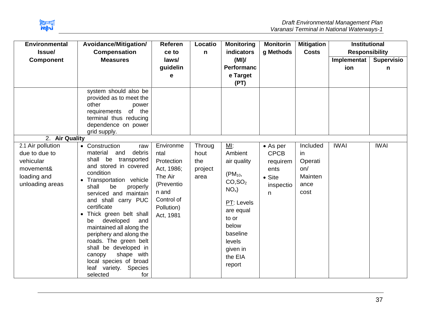

| <b>Environmental</b><br>Issue/                                                                 | Avoidance/Mitigation/<br><b>Compensation</b>                                                                                                                                                                                                                                                                                                                                                                                                                                                                 | <b>Referen</b><br>ce to                                                                                                  | Locatio<br>$\mathsf{n}$                  | <b>Monitoring</b><br>indicators                                                                                                                                                    | <b>Monitorin</b><br>g Methods                                                           | <b>Mitigation</b><br><b>Costs</b>                           | <b>Institutional</b><br><b>Responsibility</b> |                        |
|------------------------------------------------------------------------------------------------|--------------------------------------------------------------------------------------------------------------------------------------------------------------------------------------------------------------------------------------------------------------------------------------------------------------------------------------------------------------------------------------------------------------------------------------------------------------------------------------------------------------|--------------------------------------------------------------------------------------------------------------------------|------------------------------------------|------------------------------------------------------------------------------------------------------------------------------------------------------------------------------------|-----------------------------------------------------------------------------------------|-------------------------------------------------------------|-----------------------------------------------|------------------------|
| <b>Component</b>                                                                               | <b>Measures</b>                                                                                                                                                                                                                                                                                                                                                                                                                                                                                              | laws/<br>guidelin<br>е                                                                                                   |                                          | (MI)<br>Performanc<br>e Target<br>(PT)                                                                                                                                             |                                                                                         |                                                             | Implementat<br>ion                            | <b>Supervisio</b><br>n |
|                                                                                                | system should also be<br>provided as to meet the<br>other<br>power<br>requirements of the<br>terminal thus reducing<br>dependence on power<br>grid supply.                                                                                                                                                                                                                                                                                                                                                   |                                                                                                                          |                                          |                                                                                                                                                                                    |                                                                                         |                                                             |                                               |                        |
| 2. Air Quality                                                                                 |                                                                                                                                                                                                                                                                                                                                                                                                                                                                                                              |                                                                                                                          |                                          |                                                                                                                                                                                    |                                                                                         |                                                             |                                               |                        |
| 2.1 Air pollution<br>due to due to<br>vehicular<br>movement&<br>loading and<br>unloading areas | • Construction<br>raw<br>material<br>debris<br>and<br>shall be transported<br>and stored in covered<br>condition<br>Transportation vehicle<br>be<br>shall<br>properly<br>serviced and maintain<br>and shall carry PUC<br>certificate<br>Thick green belt shall<br>$\bullet$<br>developed<br>and<br>be<br>maintained all along the<br>periphery and along the<br>roads. The green belt<br>shall be developed in<br>shape with<br>canopy<br>local species of broad<br>leaf variety. Species<br>selected<br>for | Environme<br>ntal<br>Protection<br>Act, 1986;<br>The Air<br>(Preventio<br>n and<br>Control of<br>Pollution)<br>Act, 1981 | Throug<br>hout<br>the<br>project<br>area | MI:<br>Ambient<br>air quality<br>$(PM_{10},$<br>CO, SO <sub>2</sub><br>$NOx$ )<br>PT: Levels<br>are equal<br>to or<br>below<br>baseline<br>levels<br>given in<br>the EIA<br>report | $\bullet$ As per<br><b>CPCB</b><br>requirem<br>ents<br>$\bullet$ Site<br>inspectio<br>n | Included<br>in<br>Operati<br>on/<br>Mainten<br>ance<br>cost | <b>IWAI</b>                                   | <b>IWAI</b>            |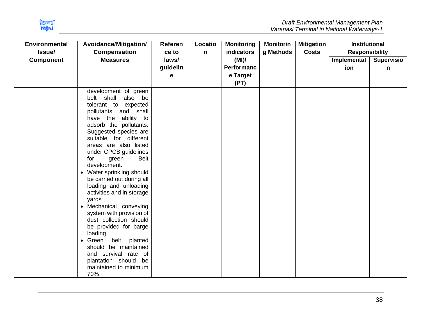

| <b>Environmental</b> | Avoidance/Mitigation/                                                                                                                                                                                                                                                                                                                                                                                                                                                                                                                                                                                                                                                                                       | Referen  | Locatio      | <b>Monitoring</b> | <b>Monitorin</b> | <b>Mitigation</b> | <b>Institutional</b>  |                   |
|----------------------|-------------------------------------------------------------------------------------------------------------------------------------------------------------------------------------------------------------------------------------------------------------------------------------------------------------------------------------------------------------------------------------------------------------------------------------------------------------------------------------------------------------------------------------------------------------------------------------------------------------------------------------------------------------------------------------------------------------|----------|--------------|-------------------|------------------|-------------------|-----------------------|-------------------|
| Issue/               | <b>Compensation</b>                                                                                                                                                                                                                                                                                                                                                                                                                                                                                                                                                                                                                                                                                         | ce to    | $\mathsf{n}$ | indicators        | g Methods        | <b>Costs</b>      | <b>Responsibility</b> |                   |
| <b>Component</b>     | <b>Measures</b>                                                                                                                                                                                                                                                                                                                                                                                                                                                                                                                                                                                                                                                                                             | laws/    |              | (MI)              |                  |                   | Implementat           | <b>Supervisio</b> |
|                      |                                                                                                                                                                                                                                                                                                                                                                                                                                                                                                                                                                                                                                                                                                             | guidelin |              | <b>Performanc</b> |                  |                   | ion                   | n                 |
|                      |                                                                                                                                                                                                                                                                                                                                                                                                                                                                                                                                                                                                                                                                                                             | е        |              | e Target          |                  |                   |                       |                   |
|                      |                                                                                                                                                                                                                                                                                                                                                                                                                                                                                                                                                                                                                                                                                                             |          |              | (PT)              |                  |                   |                       |                   |
|                      | development of green<br>belt shall<br>also be<br>tolerant to expected<br>and shall<br>pollutants<br>have the ability to<br>adsorb the pollutants.<br>Suggested species are<br>suitable for different<br>areas are also listed<br>under CPCB guidelines<br><b>Belt</b><br>green<br>for<br>development.<br>Water sprinkling should<br>$\bullet$<br>be carried out during all<br>loading and unloading<br>activities and in storage<br>yards<br>• Mechanical conveying<br>system with provision of<br>dust collection should<br>be provided for barge<br>loading<br>belt<br>planted<br>$\bullet$ Green<br>should be maintained<br>and survival rate of<br>plantation should be<br>maintained to minimum<br>70% |          |              |                   |                  |                   |                       |                   |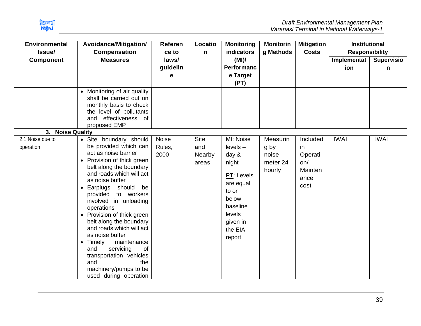

| <b>Environmental</b>          | Avoidance/Mitigation/                                                                                                                                                                                                                                                                                                                                                                                                                                                                                                                  | Referen                         | Locatio                               | <b>Monitoring</b><br><b>indicators</b>                                                                                                           | <b>Monitorin</b>                                | <b>Mitigation</b>                                                  | <b>Institutional</b>                        |                        |
|-------------------------------|----------------------------------------------------------------------------------------------------------------------------------------------------------------------------------------------------------------------------------------------------------------------------------------------------------------------------------------------------------------------------------------------------------------------------------------------------------------------------------------------------------------------------------------|---------------------------------|---------------------------------------|--------------------------------------------------------------------------------------------------------------------------------------------------|-------------------------------------------------|--------------------------------------------------------------------|---------------------------------------------|------------------------|
| Issue/<br><b>Component</b>    | <b>Compensation</b><br><b>Measures</b>                                                                                                                                                                                                                                                                                                                                                                                                                                                                                                 | ce to<br>laws/<br>guidelin<br>е | n                                     | (MI)<br><b>Performanc</b><br>e Target<br>(PT)                                                                                                    | g Methods                                       | <b>Costs</b>                                                       | <b>Responsibility</b><br>Implementat<br>ion | <b>Supervisio</b><br>n |
| 3. Noise Quality              | • Monitoring of air quality<br>shall be carried out on<br>monthly basis to check<br>the level of pollutants<br>and effectiveness of<br>proposed EMP                                                                                                                                                                                                                                                                                                                                                                                    |                                 |                                       |                                                                                                                                                  |                                                 |                                                                    |                                             |                        |
| 2.1 Noise due to<br>operation | • Site boundary should<br>be provided which can<br>act as noise barrier<br>Provision of thick green<br>belt along the boundary<br>and roads which will act<br>as noise buffer<br>Earplugs should be<br>$\bullet$<br>provided to workers<br>involved in unloading<br>operations<br>• Provision of thick green<br>belt along the boundary<br>and roads which will act<br>as noise buffer<br>• Timely<br>maintenance<br>servicing<br>and<br>of<br>transportation vehicles<br>and<br>the<br>machinery/pumps to be<br>used during operation | Noise<br>Rules,<br>2000         | <b>Site</b><br>and<br>Nearby<br>areas | MI: Noise<br>$levels -$<br>day $\&$<br>night<br>PT: Levels<br>are equal<br>to or<br>below<br>baseline<br>levels<br>given in<br>the EIA<br>report | Measurin<br>g by<br>noise<br>meter 24<br>hourly | Included<br>in<br>Operati<br>on/<br><b>Mainten</b><br>ance<br>cost | <b>IWAI</b>                                 | <b>IWAI</b>            |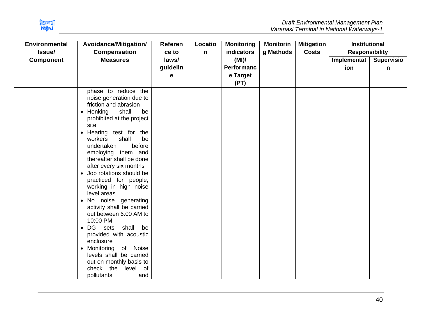

| <b>Environmental</b> | Avoidance/Mitigation/                                                                                                                                                                                                                                                                                                                                                                                                                                                                                                                                                                                                                                                                                                                             | <b>Referen</b> | Locatio      | <b>Monitoring</b> | <b>Monitorin</b> | <b>Mitigation</b> | <b>Institutional</b>  |                   |
|----------------------|---------------------------------------------------------------------------------------------------------------------------------------------------------------------------------------------------------------------------------------------------------------------------------------------------------------------------------------------------------------------------------------------------------------------------------------------------------------------------------------------------------------------------------------------------------------------------------------------------------------------------------------------------------------------------------------------------------------------------------------------------|----------------|--------------|-------------------|------------------|-------------------|-----------------------|-------------------|
| Issue/               | <b>Compensation</b>                                                                                                                                                                                                                                                                                                                                                                                                                                                                                                                                                                                                                                                                                                                               | ce to          | $\mathsf{n}$ | indicators        | g Methods        | <b>Costs</b>      | <b>Responsibility</b> |                   |
| <b>Component</b>     | <b>Measures</b>                                                                                                                                                                                                                                                                                                                                                                                                                                                                                                                                                                                                                                                                                                                                   | laws/          |              | (MI)              |                  |                   | Implementat           | <b>Supervisio</b> |
|                      |                                                                                                                                                                                                                                                                                                                                                                                                                                                                                                                                                                                                                                                                                                                                                   | guidelin       |              | <b>Performanc</b> |                  |                   | ion                   | n                 |
|                      |                                                                                                                                                                                                                                                                                                                                                                                                                                                                                                                                                                                                                                                                                                                                                   | е              |              | e Target          |                  |                   |                       |                   |
|                      |                                                                                                                                                                                                                                                                                                                                                                                                                                                                                                                                                                                                                                                                                                                                                   |                |              | (PT)              |                  |                   |                       |                   |
|                      | phase to reduce the<br>noise generation due to<br>friction and abrasion<br>shall<br>$\bullet$ Honking<br>be<br>prohibited at the project<br>site<br>Hearing test for the<br>$\bullet$<br>shall<br>be<br>workers<br>before<br>undertaken<br>employing them and<br>thereafter shall be done<br>after every six months<br>Job rotations should be<br>$\bullet$<br>practiced for people,<br>working in high noise<br>level areas<br>• No noise generating<br>activity shall be carried<br>out between 6:00 AM to<br>10:00 PM<br>DG sets<br>shall<br>be<br>$\bullet$<br>provided with acoustic<br>enclosure<br>Monitoring<br>of Noise<br>$\bullet$<br>levels shall be carried<br>out on monthly basis to<br>check the<br>level of<br>pollutants<br>and |                |              |                   |                  |                   |                       |                   |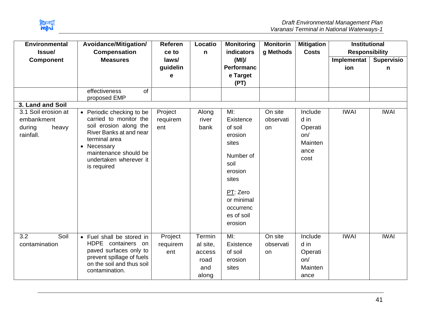

| <b>Environmental</b><br>Issue/                                                        | Avoidance/Mitigation/<br><b>Compensation</b>                                                                                                                                                                                     | <b>Referen</b><br>ce to    | Locatio<br>n                                         | <b>Monitoring</b><br>indicators                                                                                                                          | <b>Monitorin</b><br>g Methods | <b>Mitigation</b><br><b>Costs</b>                            | <b>Institutional</b><br><b>Responsibility</b> |                        |
|---------------------------------------------------------------------------------------|----------------------------------------------------------------------------------------------------------------------------------------------------------------------------------------------------------------------------------|----------------------------|------------------------------------------------------|----------------------------------------------------------------------------------------------------------------------------------------------------------|-------------------------------|--------------------------------------------------------------|-----------------------------------------------|------------------------|
| <b>Component</b>                                                                      | <b>Measures</b>                                                                                                                                                                                                                  | laws/<br>guidelin<br>e     |                                                      | (MI)<br><b>Performanc</b><br>e Target<br>(PT)                                                                                                            |                               |                                                              | Implementat<br>ion                            | <b>Supervisio</b><br>n |
|                                                                                       | effectiveness<br>of<br>proposed EMP                                                                                                                                                                                              |                            |                                                      |                                                                                                                                                          |                               |                                                              |                                               |                        |
| 3. Land and Soil<br>3.1 Soil erosion at<br>embankment<br>during<br>heavy<br>rainfall. | Periodic checking to be<br>$\bullet$<br>carried to monitor the<br>soil erosion along the<br>River Banks at and near<br>terminal area<br>Necessary<br>$\bullet$<br>maintenance should be<br>undertaken wherever it<br>is required | Project<br>requirem<br>ent | Along<br>river<br>bank                               | MI:<br>Existence<br>of soil<br>erosion<br>sites<br>Number of<br>soil<br>erosion<br>sites<br>PT: Zero<br>or minimal<br>occurrenc<br>es of soil<br>erosion | On site<br>observati<br>on    | Include<br>d in<br>Operati<br>on/<br>Mainten<br>ance<br>cost | <b>IWAI</b>                                   | <b>IWAI</b>            |
| Soil<br>3.2<br>contamination                                                          | • Fuel shall be stored in<br>HDPE containers on<br>paved surfaces only to<br>prevent spillage of fuels<br>on the soil and thus soil<br>contamination.                                                                            | Project<br>requirem<br>ent | Termin<br>al site,<br>access<br>road<br>and<br>along | MI:<br>Existence<br>of soil<br>erosion<br>sites                                                                                                          | On site<br>observati<br>on    | Include<br>d in<br>Operati<br>on/<br>Mainten<br>ance         | <b>IWAI</b>                                   | <b>IWAI</b>            |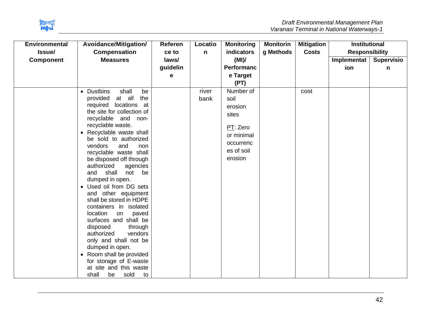

| <b>Environmental</b> | Avoidance/Mitigation/                                  | Referen  | Locatio      | <b>Monitoring</b> | <b>Monitorin</b> | <b>Mitigation</b> | <b>Institutional</b>  |                   |
|----------------------|--------------------------------------------------------|----------|--------------|-------------------|------------------|-------------------|-----------------------|-------------------|
| Issue/               | <b>Compensation</b>                                    | ce to    | $\mathsf{n}$ | indicators        | g Methods        | <b>Costs</b>      | <b>Responsibility</b> |                   |
| <b>Component</b>     | <b>Measures</b>                                        | laws/    |              | (MI)              |                  |                   | Implementat           | <b>Supervisio</b> |
|                      |                                                        | guidelin |              | <b>Performanc</b> |                  |                   | ion                   | n                 |
|                      |                                                        | е        |              | e Target          |                  |                   |                       |                   |
|                      |                                                        |          |              | (PT)              |                  |                   |                       |                   |
|                      | shall<br><b>Dustbins</b><br>be<br>$\bullet$            |          | river        | Number of         |                  | cost              |                       |                   |
|                      | at all<br>the<br>provided                              |          | bank         | soil              |                  |                   |                       |                   |
|                      | locations at<br>required<br>the site for collection of |          |              | erosion           |                  |                   |                       |                   |
|                      | recyclable and non-                                    |          |              | sites             |                  |                   |                       |                   |
|                      | recyclable waste.                                      |          |              | PT: Zero          |                  |                   |                       |                   |
|                      | Recyclable waste shall<br>$\bullet$                    |          |              | or minimal        |                  |                   |                       |                   |
|                      | be sold to authorized                                  |          |              | occurrenc         |                  |                   |                       |                   |
|                      | vendors<br>and<br>non                                  |          |              | es of soil        |                  |                   |                       |                   |
|                      | recyclable waste shall<br>be disposed off through      |          |              | erosion           |                  |                   |                       |                   |
|                      | authorized<br>agencies                                 |          |              |                   |                  |                   |                       |                   |
|                      | shall<br>and<br>not<br>be                              |          |              |                   |                  |                   |                       |                   |
|                      | dumped in open.                                        |          |              |                   |                  |                   |                       |                   |
|                      | Used oil from DG sets                                  |          |              |                   |                  |                   |                       |                   |
|                      | and other equipment                                    |          |              |                   |                  |                   |                       |                   |
|                      | shall be stored in HDPE                                |          |              |                   |                  |                   |                       |                   |
|                      | containers in isolated                                 |          |              |                   |                  |                   |                       |                   |
|                      | location<br>on<br>paved<br>surfaces and shall be       |          |              |                   |                  |                   |                       |                   |
|                      | disposed<br>through                                    |          |              |                   |                  |                   |                       |                   |
|                      | authorized<br>vendors                                  |          |              |                   |                  |                   |                       |                   |
|                      | only and shall not be                                  |          |              |                   |                  |                   |                       |                   |
|                      | dumped in open.                                        |          |              |                   |                  |                   |                       |                   |
|                      | Room shall be provided<br>$\bullet$                    |          |              |                   |                  |                   |                       |                   |
|                      | for storage of E-waste                                 |          |              |                   |                  |                   |                       |                   |
|                      | at site and this waste                                 |          |              |                   |                  |                   |                       |                   |
|                      | shall<br>be<br>sold<br>to                              |          |              |                   |                  |                   |                       |                   |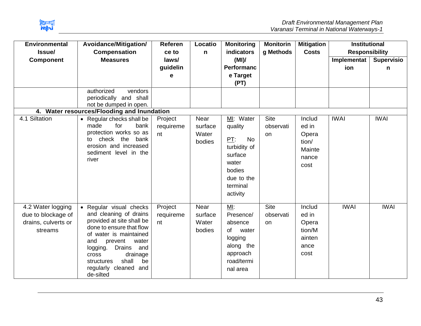

| <b>Environmental</b><br>Issue/                                            | Avoidance/Mitigation/<br><b>Compensation</b>                                                                                                                                                                                                                                                   | Referen<br>ce to           | Locatio<br>n                       | <b>Monitoring</b><br>indicators                                                                                              | <b>Monitorin</b><br>g Methods  | <b>Mitigation</b><br><b>Costs</b>                            | <b>Institutional</b><br><b>Responsibility</b> |                        |
|---------------------------------------------------------------------------|------------------------------------------------------------------------------------------------------------------------------------------------------------------------------------------------------------------------------------------------------------------------------------------------|----------------------------|------------------------------------|------------------------------------------------------------------------------------------------------------------------------|--------------------------------|--------------------------------------------------------------|-----------------------------------------------|------------------------|
| <b>Component</b>                                                          | <b>Measures</b>                                                                                                                                                                                                                                                                                | laws/<br>guidelin<br>е     |                                    | (MI)<br><b>Performanc</b><br>e Target<br>(PT)                                                                                |                                |                                                              | Implementat<br>ion                            | <b>Supervisio</b><br>n |
|                                                                           | authorized<br>vendors<br>periodically and shall<br>not be dumped in open.<br>4. Water resources/Flooding and Inundation                                                                                                                                                                        |                            |                                    |                                                                                                                              |                                |                                                              |                                               |                        |
| 4.1 Siltation                                                             | • Regular checks shall be<br>for<br>made<br>bank<br>protection works so as<br>check the<br>bank<br>to<br>erosion and increased<br>sediment level in the<br>river                                                                                                                               | Project<br>requireme<br>nt | Near<br>surface<br>Water<br>bodies | MI: Water<br>quality<br>PT:<br><b>No</b><br>turbidity of<br>surface<br>water<br>bodies<br>due to the<br>terminal<br>activity | <b>Site</b><br>observati<br>on | Includ<br>ed in<br>Opera<br>tion/<br>Mainte<br>nance<br>cost | <b>IWAI</b>                                   | <b>IWAI</b>            |
| 4.2 Water logging<br>due to blockage of<br>drains, culverts or<br>streams | • Regular visual checks<br>and cleaning of drains<br>provided at site shall be<br>done to ensure that flow<br>of water is maintained<br>prevent<br>water<br>and<br><b>Drains</b><br>and<br>logging.<br>drainage<br>cross<br>shall<br>structures<br>be<br>regularly cleaned<br>and<br>de-silted | Project<br>requireme<br>nt | Near<br>surface<br>Water<br>bodies | MI:<br>Presence/<br>absence<br>of<br>water<br>logging<br>along the<br>approach<br>road/termi<br>nal area                     | <b>Site</b><br>observati<br>on | Includ<br>ed in<br>Opera<br>tion/M<br>ainten<br>ance<br>cost | <b>IWAI</b>                                   | <b>IWAI</b>            |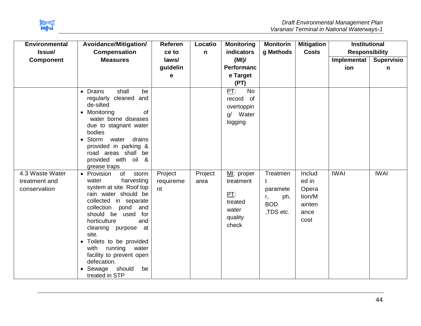

| <b>Environmental</b><br>Issue/                   | Avoidance/Mitigation/<br><b>Compensation</b>                                                                                                                                                                                                                                                                                                                                                          | Referen<br>ce to           | Locatio<br>$\mathsf{n}$ | <b>Monitoring</b><br>indicators                                        | <b>Monitorin</b><br>g Methods                                     | <b>Mitigation</b><br><b>Costs</b>                            | <b>Institutional</b><br><b>Responsibility</b> |                        |
|--------------------------------------------------|-------------------------------------------------------------------------------------------------------------------------------------------------------------------------------------------------------------------------------------------------------------------------------------------------------------------------------------------------------------------------------------------------------|----------------------------|-------------------------|------------------------------------------------------------------------|-------------------------------------------------------------------|--------------------------------------------------------------|-----------------------------------------------|------------------------|
| <b>Component</b>                                 | <b>Measures</b>                                                                                                                                                                                                                                                                                                                                                                                       | laws/<br>guidelin<br>e     |                         | (MI)<br><b>Performanc</b><br>e Target<br>(PT)                          |                                                                   |                                                              | Implementat  <br>ion                          | <b>Supervisio</b><br>n |
|                                                  | • Drains<br>shall<br>be<br>cleaned and<br>regularly<br>de-silted<br>of<br>• Monitoring<br>water borne diseases<br>due to stagnant water<br>bodies<br>Storm<br>drains<br>water<br>provided in parking &<br>road areas shall be<br>provided with oil &<br>grease traps                                                                                                                                  |                            |                         | PT:<br><b>No</b><br>of<br>record<br>overtoppin<br>g/ Water<br>logging  |                                                                   |                                                              |                                               |                        |
| 4.3 Waste Water<br>treatment and<br>conservation | of<br>storm<br>• Provision<br>water<br>harvesting<br>system at site. Roof top<br>rain water should be<br>collected in separate<br>collection<br>pond<br>and<br>should<br>be used<br>for<br>horticulture<br>and<br>cleaning purpose at<br>site.<br>Toilets to be provided<br>with<br>running<br>water<br>facility to prevent open<br>defecation.<br>$\bullet$ Sewage<br>should<br>be<br>treated in STP | Project<br>requireme<br>nt | Project<br>area         | MI: proper<br>treatment<br>PT:<br>treated<br>water<br>quality<br>check | Treatmen<br>t<br>paramete<br>ph,<br>r,<br><b>BOD</b><br>,TDS etc. | Includ<br>ed in<br>Opera<br>tion/M<br>ainten<br>ance<br>cost | <b>IWAI</b>                                   | <b>IWAI</b>            |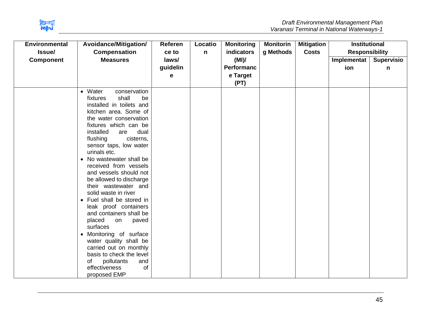

| <b>Environmental</b> | Avoidance/Mitigation/                                                                                                                                                                                                                                                                                                                                                                                                                                                                                                                                                                                                                                                                                                                        | <b>Referen</b> | Locatio | <b>Monitoring</b> | <b>Monitorin</b> | <b>Mitigation</b> | <b>Institutional</b>  |            |
|----------------------|----------------------------------------------------------------------------------------------------------------------------------------------------------------------------------------------------------------------------------------------------------------------------------------------------------------------------------------------------------------------------------------------------------------------------------------------------------------------------------------------------------------------------------------------------------------------------------------------------------------------------------------------------------------------------------------------------------------------------------------------|----------------|---------|-------------------|------------------|-------------------|-----------------------|------------|
| Issue/               | <b>Compensation</b>                                                                                                                                                                                                                                                                                                                                                                                                                                                                                                                                                                                                                                                                                                                          | ce to          | n       | indicators        | g Methods        | <b>Costs</b>      | <b>Responsibility</b> |            |
| <b>Component</b>     | <b>Measures</b>                                                                                                                                                                                                                                                                                                                                                                                                                                                                                                                                                                                                                                                                                                                              | laws/          |         | (MI)              |                  |                   | Implementat           | Supervisio |
|                      |                                                                                                                                                                                                                                                                                                                                                                                                                                                                                                                                                                                                                                                                                                                                              | guidelin       |         | Performanc        |                  |                   | ion                   | n          |
|                      |                                                                                                                                                                                                                                                                                                                                                                                                                                                                                                                                                                                                                                                                                                                                              | е              |         | e Target          |                  |                   |                       |            |
|                      |                                                                                                                                                                                                                                                                                                                                                                                                                                                                                                                                                                                                                                                                                                                                              |                |         | (PT)              |                  |                   |                       |            |
|                      | • Water<br>conservation<br>shall<br>fixtures<br>be<br>installed in toilets and<br>kitchen area. Some of<br>the water conservation<br>fixtures which can be<br>installed<br>dual<br>are<br>flushing<br>cisterns,<br>sensor taps, low water<br>urinals etc.<br>No wastewater shall be<br>$\bullet$<br>received from vessels<br>and vessels should not<br>be allowed to discharge<br>their wastewater and<br>solid waste in river<br>• Fuel shall be stored in<br>leak proof containers<br>and containers shall be<br>placed<br>paved<br>on<br>surfaces<br>Monitoring of surface<br>$\bullet$<br>water quality shall be<br>carried out on monthly<br>basis to check the level<br>pollutants<br>and<br>οf<br>effectiveness<br>of<br>proposed EMP |                |         |                   |                  |                   |                       |            |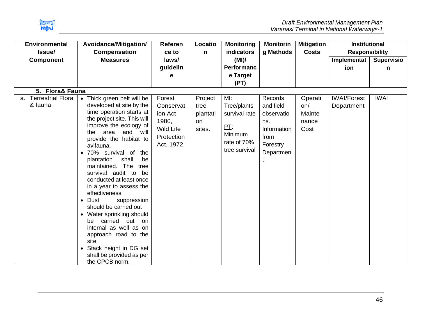

| <b>Environmental</b>                      | Avoidance/Mitigation/                                                                                                                                                                                                                                                                                                                                                                                                                                                                                                                                                                                                                                      | <b>Referen</b>                                                                         | Locatio                                     | <b>Monitoring</b>                                                                        | <b>Monitorin</b>                                                                          | <b>Mitigation</b>                         | <b>Institutional</b>             |                   |
|-------------------------------------------|------------------------------------------------------------------------------------------------------------------------------------------------------------------------------------------------------------------------------------------------------------------------------------------------------------------------------------------------------------------------------------------------------------------------------------------------------------------------------------------------------------------------------------------------------------------------------------------------------------------------------------------------------------|----------------------------------------------------------------------------------------|---------------------------------------------|------------------------------------------------------------------------------------------|-------------------------------------------------------------------------------------------|-------------------------------------------|----------------------------------|-------------------|
| Issue/                                    | <b>Compensation</b>                                                                                                                                                                                                                                                                                                                                                                                                                                                                                                                                                                                                                                        | ce to                                                                                  | $\mathsf{n}$                                | <b>indicators</b>                                                                        | g Methods                                                                                 | <b>Costs</b>                              | <b>Responsibility</b>            |                   |
| <b>Component</b>                          | <b>Measures</b>                                                                                                                                                                                                                                                                                                                                                                                                                                                                                                                                                                                                                                            | laws/                                                                                  |                                             | (MI)                                                                                     |                                                                                           |                                           | Implementat                      | <b>Supervisio</b> |
|                                           |                                                                                                                                                                                                                                                                                                                                                                                                                                                                                                                                                                                                                                                            | guidelin                                                                               |                                             | <b>Performanc</b>                                                                        |                                                                                           |                                           | ion                              | n                 |
|                                           |                                                                                                                                                                                                                                                                                                                                                                                                                                                                                                                                                                                                                                                            | е                                                                                      |                                             | e Target                                                                                 |                                                                                           |                                           |                                  |                   |
|                                           |                                                                                                                                                                                                                                                                                                                                                                                                                                                                                                                                                                                                                                                            |                                                                                        |                                             | (PT)                                                                                     |                                                                                           |                                           |                                  |                   |
| 5. Flora& Fauna                           |                                                                                                                                                                                                                                                                                                                                                                                                                                                                                                                                                                                                                                                            |                                                                                        |                                             |                                                                                          |                                                                                           |                                           |                                  |                   |
| <b>Terrestrial Flora</b><br>a.<br>& fauna | • Thick green belt will be<br>developed at site by the<br>time operation starts at<br>the project site. This will<br>improve the ecology of<br>area and will<br>the<br>provide the habitat to<br>avifauna.<br>· 70% survival of the<br>shall<br>plantation<br>be<br>The<br>maintained.<br>tree<br>survival audit to<br>be<br>conducted at least once<br>in a year to assess the<br>effectiveness<br>Dust<br>suppression<br>$\bullet$<br>should be carried out<br>• Water sprinkling should<br>carried<br>out<br>on<br>be<br>internal as well as on<br>approach road to the<br>site<br>Stack height in DG set<br>shall be provided as per<br>the CPCB norm. | Forest<br>Conservat<br>ion Act<br>1980,<br><b>Wild Life</b><br>Protection<br>Act, 1972 | Project<br>tree<br>plantati<br>on<br>sites. | $M!$ :<br>Tree/plants<br>survival rate<br>PT:<br>Minimum<br>rate of 70%<br>tree survival | Records<br>and field<br>observatio<br>ns.<br>Information<br>from<br>Forestry<br>Departmen | Operati<br>on/<br>Mainte<br>nance<br>Cost | <b>IWAI/Forest</b><br>Department | <b>IWAI</b>       |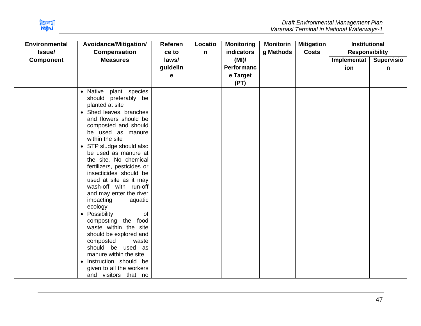

| <b>Environmental</b> | Avoidance/Mitigation/                                                                                                                                                                                                                                                                                                                                                                                                                                                                                                                                                                                                                                                                                                              | <b>Referen</b> | Locatio     | <b>Monitoring</b> | <b>Monitorin</b> | <b>Mitigation</b> | <b>Institutional</b>  |                   |
|----------------------|------------------------------------------------------------------------------------------------------------------------------------------------------------------------------------------------------------------------------------------------------------------------------------------------------------------------------------------------------------------------------------------------------------------------------------------------------------------------------------------------------------------------------------------------------------------------------------------------------------------------------------------------------------------------------------------------------------------------------------|----------------|-------------|-------------------|------------------|-------------------|-----------------------|-------------------|
| Issue/               | <b>Compensation</b>                                                                                                                                                                                                                                                                                                                                                                                                                                                                                                                                                                                                                                                                                                                | ce to          | $\mathbf n$ | indicators        | g Methods        | <b>Costs</b>      | <b>Responsibility</b> |                   |
| <b>Component</b>     | <b>Measures</b>                                                                                                                                                                                                                                                                                                                                                                                                                                                                                                                                                                                                                                                                                                                    | laws/          |             | (MI)              |                  |                   | Implementat           | <b>Supervisio</b> |
|                      |                                                                                                                                                                                                                                                                                                                                                                                                                                                                                                                                                                                                                                                                                                                                    | guidelin       |             | <b>Performanc</b> |                  |                   | ion                   | n                 |
|                      |                                                                                                                                                                                                                                                                                                                                                                                                                                                                                                                                                                                                                                                                                                                                    | е              |             | e Target          |                  |                   |                       |                   |
|                      |                                                                                                                                                                                                                                                                                                                                                                                                                                                                                                                                                                                                                                                                                                                                    |                |             | (PT)              |                  |                   |                       |                   |
|                      | Native<br>plant species<br>$\bullet$<br>should preferably be<br>planted at site<br>Shed leaves, branches<br>$\bullet$<br>and flowers should be<br>composted and should<br>be used as manure<br>within the site<br>STP sludge should also<br>$\bullet$<br>be used as manure at<br>the site. No chemical<br>fertilizers, pesticides or<br>insecticides should be<br>used at site as it may<br>wash-off with run-off<br>and may enter the river<br>impacting<br>aquatic<br>ecology<br>Possibility<br>0f<br>$\bullet$<br>composting the food<br>waste within the site<br>should be explored and<br>composted<br>waste<br>should be used as<br>manure within the site<br>Instruction should be<br>$\bullet$<br>given to all the workers |                |             |                   |                  |                   |                       |                   |
|                      |                                                                                                                                                                                                                                                                                                                                                                                                                                                                                                                                                                                                                                                                                                                                    |                |             |                   |                  |                   |                       |                   |
|                      | and visitors that no                                                                                                                                                                                                                                                                                                                                                                                                                                                                                                                                                                                                                                                                                                               |                |             |                   |                  |                   |                       |                   |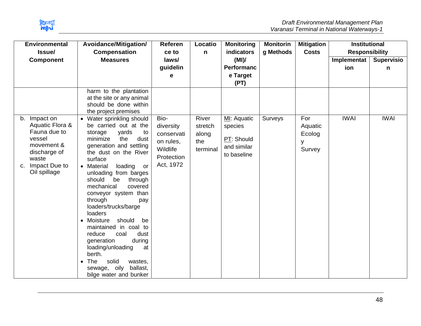

| <b>Environmental</b>                                                                                                                    | Avoidance/Mitigation/                                                                                                                                                                                                                                                                                                                                                                                                                                                                                                                                                                                                  | Referen                                                                             | Locatio                                      | <b>Monitoring</b>                                                  | <b>Monitorin</b> | <b>Mitigation</b>                       | <b>Institutional</b>  |                   |
|-----------------------------------------------------------------------------------------------------------------------------------------|------------------------------------------------------------------------------------------------------------------------------------------------------------------------------------------------------------------------------------------------------------------------------------------------------------------------------------------------------------------------------------------------------------------------------------------------------------------------------------------------------------------------------------------------------------------------------------------------------------------------|-------------------------------------------------------------------------------------|----------------------------------------------|--------------------------------------------------------------------|------------------|-----------------------------------------|-----------------------|-------------------|
| Issue/                                                                                                                                  | <b>Compensation</b>                                                                                                                                                                                                                                                                                                                                                                                                                                                                                                                                                                                                    | ce to                                                                               | n                                            | indicators                                                         | g Methods        | <b>Costs</b>                            | <b>Responsibility</b> |                   |
| <b>Component</b>                                                                                                                        | <b>Measures</b>                                                                                                                                                                                                                                                                                                                                                                                                                                                                                                                                                                                                        | laws/                                                                               |                                              | (MI)                                                               |                  |                                         | Implementat           | <b>Supervisio</b> |
|                                                                                                                                         |                                                                                                                                                                                                                                                                                                                                                                                                                                                                                                                                                                                                                        | guidelin                                                                            |                                              | <b>Performanc</b>                                                  |                  |                                         | ion                   | n                 |
|                                                                                                                                         |                                                                                                                                                                                                                                                                                                                                                                                                                                                                                                                                                                                                                        | е                                                                                   |                                              | e Target                                                           |                  |                                         |                       |                   |
|                                                                                                                                         |                                                                                                                                                                                                                                                                                                                                                                                                                                                                                                                                                                                                                        |                                                                                     |                                              | (PT)                                                               |                  |                                         |                       |                   |
|                                                                                                                                         | harm to the plantation<br>at the site or any animal<br>should be done within<br>the project premises                                                                                                                                                                                                                                                                                                                                                                                                                                                                                                                   |                                                                                     |                                              |                                                                    |                  |                                         |                       |                   |
| b. Impact on<br>Aquatic Flora &<br>Fauna due to<br>vessel<br>movement &<br>discharge of<br>waste<br>Impact Due to<br>c.<br>Oil spillage | • Water sprinkling should<br>be carried out at the<br>yards<br>storage<br>to<br>minimize<br>the<br>dust<br>generation and settling<br>the dust on the River<br>surface<br>loading<br>• Material<br>or<br>unloading from barges<br>should<br>be<br>through<br>mechanical<br>covered<br>conveyor system than<br>through<br>pay<br>loaders/trucks/barge<br>loaders<br>Moisture<br>should<br>be<br>$\bullet$<br>maintained in coal to<br>coal<br>dust<br>reduce<br>generation<br>during<br>loading/unloading<br>at<br>berth.<br>The<br>solid<br>wastes,<br>$\bullet$<br>ballast,<br>sewage, oily<br>bilge water and bunker | Bio-<br>diversity<br>conservati<br>on rules,<br>Wildlife<br>Protection<br>Act, 1972 | River<br>stretch<br>along<br>the<br>terminal | MI: Aquatic<br>species<br>PT: Should<br>and similar<br>to baseline | Surveys          | For<br>Aquatic<br>Ecolog<br>у<br>Survey | <b>IWAI</b>           | <b>IWAI</b>       |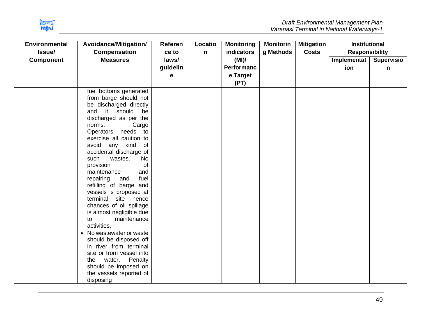

| <b>Environmental</b> | Avoidance/Mitigation/                            | Referen  | Locatio | <b>Monitoring</b> | <b>Monitorin</b> | <b>Mitigation</b> | <b>Institutional</b>  |                   |
|----------------------|--------------------------------------------------|----------|---------|-------------------|------------------|-------------------|-----------------------|-------------------|
| Issue/               | <b>Compensation</b>                              | ce to    | n       | indicators        | g Methods        | <b>Costs</b>      | <b>Responsibility</b> |                   |
| <b>Component</b>     | <b>Measures</b>                                  | laws/    |         | (MI)              |                  |                   | Implementat           | <b>Supervisio</b> |
|                      |                                                  | guidelin |         | <b>Performanc</b> |                  |                   | ion                   | n                 |
|                      |                                                  | е        |         | e Target          |                  |                   |                       |                   |
|                      |                                                  |          |         | (PT)              |                  |                   |                       |                   |
|                      | fuel bottoms generated                           |          |         |                   |                  |                   |                       |                   |
|                      | from barge should not                            |          |         |                   |                  |                   |                       |                   |
|                      | be discharged directly                           |          |         |                   |                  |                   |                       |                   |
|                      | it<br>should<br>and<br>be                        |          |         |                   |                  |                   |                       |                   |
|                      | discharged as per the                            |          |         |                   |                  |                   |                       |                   |
|                      | norms.<br>Cargo                                  |          |         |                   |                  |                   |                       |                   |
|                      | Operators<br>needs<br>to                         |          |         |                   |                  |                   |                       |                   |
|                      | exercise all caution to                          |          |         |                   |                  |                   |                       |                   |
|                      | avoid<br>any kind<br>of                          |          |         |                   |                  |                   |                       |                   |
|                      | accidental discharge of                          |          |         |                   |                  |                   |                       |                   |
|                      | such<br>wastes.<br>No                            |          |         |                   |                  |                   |                       |                   |
|                      | provision<br>of                                  |          |         |                   |                  |                   |                       |                   |
|                      | maintenance<br>and                               |          |         |                   |                  |                   |                       |                   |
|                      | repairing<br>and<br>fuel                         |          |         |                   |                  |                   |                       |                   |
|                      | refilling of barge and                           |          |         |                   |                  |                   |                       |                   |
|                      | vessels is proposed at<br>terminal site<br>hence |          |         |                   |                  |                   |                       |                   |
|                      | chances of oil spillage                          |          |         |                   |                  |                   |                       |                   |
|                      | is almost negligible due                         |          |         |                   |                  |                   |                       |                   |
|                      | maintenance<br>to                                |          |         |                   |                  |                   |                       |                   |
|                      | activities.                                      |          |         |                   |                  |                   |                       |                   |
|                      | No wastewater or waste<br>$\bullet$              |          |         |                   |                  |                   |                       |                   |
|                      | should be disposed off                           |          |         |                   |                  |                   |                       |                   |
|                      | in river from terminal                           |          |         |                   |                  |                   |                       |                   |
|                      | site or from vessel into                         |          |         |                   |                  |                   |                       |                   |
|                      | Penalty<br>water.<br>the                         |          |         |                   |                  |                   |                       |                   |
|                      | should be imposed on                             |          |         |                   |                  |                   |                       |                   |
|                      | the vessels reported of                          |          |         |                   |                  |                   |                       |                   |
|                      | disposing                                        |          |         |                   |                  |                   |                       |                   |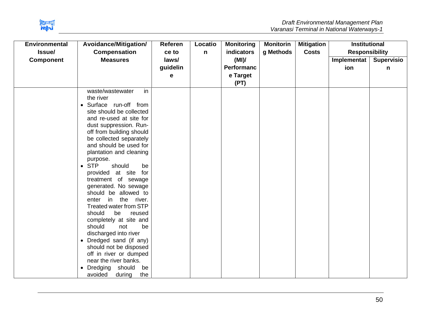

| <b>Referen</b> | Locatio                    | <b>Monitoring</b> | <b>Monitorin</b>   | <b>Mitigation</b> | <b>Institutional</b> |                                            |
|----------------|----------------------------|-------------------|--------------------|-------------------|----------------------|--------------------------------------------|
|                |                            |                   |                    |                   |                      | <b>Supervisio</b>                          |
|                |                            | <b>Performanc</b> |                    |                   |                      | n                                          |
| е              |                            | e Target          |                    |                   |                      |                                            |
|                |                            | (PT)              |                    |                   |                      |                                            |
|                |                            |                   |                    |                   |                      |                                            |
|                |                            |                   |                    |                   |                      |                                            |
|                | ce to<br>laws/<br>guidelin | n                 | indicators<br>(MI) | g Methods         | <b>Costs</b>         | <b>Responsibility</b><br>Implementa<br>ion |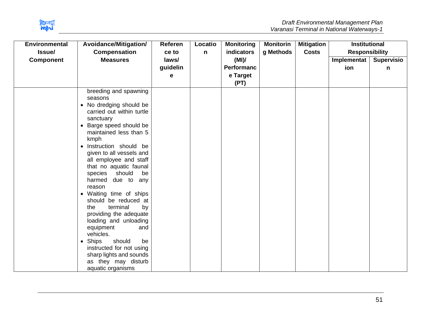

| <b>Environmental</b><br>Issue/ | Avoidance/Mitigation/<br><b>Compensation</b>                                                                                                                                                                                                                                                                                                                                                                                                                                                                                                                                                                                                                        | Referen<br>ce to       | Locatio<br>$\mathsf{n}$ | <b>Monitoring</b><br>indicators               | <b>Monitorin</b><br>g Methods | <b>Mitigation</b><br><b>Costs</b> | <b>Institutional</b><br><b>Responsibility</b> |                        |
|--------------------------------|---------------------------------------------------------------------------------------------------------------------------------------------------------------------------------------------------------------------------------------------------------------------------------------------------------------------------------------------------------------------------------------------------------------------------------------------------------------------------------------------------------------------------------------------------------------------------------------------------------------------------------------------------------------------|------------------------|-------------------------|-----------------------------------------------|-------------------------------|-----------------------------------|-----------------------------------------------|------------------------|
| <b>Component</b>               | <b>Measures</b>                                                                                                                                                                                                                                                                                                                                                                                                                                                                                                                                                                                                                                                     | laws/<br>guidelin<br>е |                         | (MI)<br><b>Performanc</b><br>e Target<br>(PT) |                               |                                   | Implementat<br>ion                            | <b>Supervisio</b><br>n |
|                                | breeding and spawning<br>seasons<br>• No dredging should be<br>carried out within turtle<br>sanctuary<br>Barge speed should be<br>maintained less than 5<br>kmph<br>Instruction should be<br>$\bullet$<br>given to all vessels and<br>all employee and staff<br>that no aquatic faunal<br>should<br>species<br>be<br>harmed<br>due to any<br>reason<br>• Waiting time of ships<br>should be reduced at<br>by<br>terminal<br>the<br>providing the adequate<br>loading and unloading<br>equipment<br>and<br>vehicles.<br><b>Ships</b><br>should<br>be<br>$\bullet$<br>instructed for not using<br>sharp lights and sounds<br>as they may disturb<br>aquatic organisms |                        |                         |                                               |                               |                                   |                                               |                        |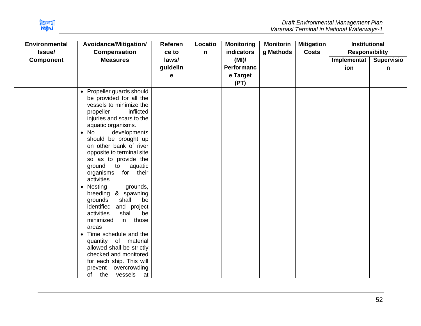

| <b>Environmental</b> | Avoidance/Mitigation/                                                                                                                                                                                                                                                                                                                                                                                                                                                                                                                                                                                                                                                                                                                                                       | <b>Referen</b> | Locatio | <b>Monitoring</b> | <b>Monitorin</b> | <b>Mitigation</b> | <b>Institutional</b>  |                   |
|----------------------|-----------------------------------------------------------------------------------------------------------------------------------------------------------------------------------------------------------------------------------------------------------------------------------------------------------------------------------------------------------------------------------------------------------------------------------------------------------------------------------------------------------------------------------------------------------------------------------------------------------------------------------------------------------------------------------------------------------------------------------------------------------------------------|----------------|---------|-------------------|------------------|-------------------|-----------------------|-------------------|
| Issue/               | <b>Compensation</b>                                                                                                                                                                                                                                                                                                                                                                                                                                                                                                                                                                                                                                                                                                                                                         | ce to          | n       | indicators        | g Methods        | <b>Costs</b>      | <b>Responsibility</b> |                   |
| <b>Component</b>     | <b>Measures</b>                                                                                                                                                                                                                                                                                                                                                                                                                                                                                                                                                                                                                                                                                                                                                             | laws/          |         | (MI)              |                  |                   | Implementat           | <b>Supervisio</b> |
|                      |                                                                                                                                                                                                                                                                                                                                                                                                                                                                                                                                                                                                                                                                                                                                                                             | guidelin       |         | Performanc        |                  |                   | ion                   | n                 |
|                      |                                                                                                                                                                                                                                                                                                                                                                                                                                                                                                                                                                                                                                                                                                                                                                             | е              |         | e Target          |                  |                   |                       |                   |
|                      |                                                                                                                                                                                                                                                                                                                                                                                                                                                                                                                                                                                                                                                                                                                                                                             |                |         | (PT)              |                  |                   |                       |                   |
|                      | Propeller guards should<br>$\bullet$<br>be provided for all the<br>vessels to minimize the<br>inflicted<br>propeller<br>injuries and scars to the<br>aquatic organisms.<br>No<br>developments<br>$\bullet$<br>should be brought up<br>on other bank of river<br>opposite to terminal site<br>so as to provide the<br>ground<br>to<br>aquatic<br>for their<br>organisms<br>activities<br>Nesting<br>grounds,<br>$\bullet$<br>breeding & spawning<br>shall<br>grounds<br>be<br>identified<br>and project<br>activities<br>shall<br>be<br>in those<br>minimized<br>areas<br>Time schedule and the<br>$\bullet$<br>quantity of material<br>allowed shall be strictly<br>checked and monitored<br>for each ship. This will<br>prevent overcrowding<br>the<br>of<br>vessels<br>at |                |         |                   |                  |                   |                       |                   |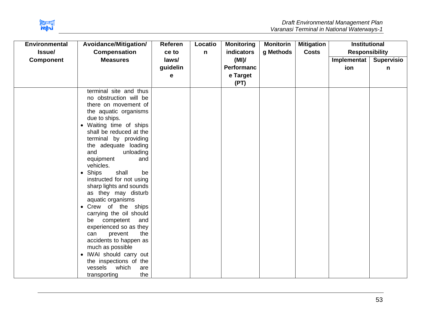

| <b>Environmental</b> | Avoidance/Mitigation/                                                                                                                                                                                                                                                                                                                                                                                                                                                                                                                                                                                                                                                                                     | <b>Referen</b> | Locatio      | <b>Monitoring</b> | <b>Monitorin</b> | <b>Mitigation</b> | <b>Institutional</b>  |                   |
|----------------------|-----------------------------------------------------------------------------------------------------------------------------------------------------------------------------------------------------------------------------------------------------------------------------------------------------------------------------------------------------------------------------------------------------------------------------------------------------------------------------------------------------------------------------------------------------------------------------------------------------------------------------------------------------------------------------------------------------------|----------------|--------------|-------------------|------------------|-------------------|-----------------------|-------------------|
| Issue/               | <b>Compensation</b>                                                                                                                                                                                                                                                                                                                                                                                                                                                                                                                                                                                                                                                                                       | ce to          | $\mathsf{n}$ | indicators        | g Methods        | <b>Costs</b>      | <b>Responsibility</b> |                   |
| <b>Component</b>     | <b>Measures</b>                                                                                                                                                                                                                                                                                                                                                                                                                                                                                                                                                                                                                                                                                           | laws/          |              | (MI)              |                  |                   | Implementat           | <b>Supervisio</b> |
|                      |                                                                                                                                                                                                                                                                                                                                                                                                                                                                                                                                                                                                                                                                                                           | guidelin       |              | <b>Performanc</b> |                  |                   | ion                   | n                 |
|                      |                                                                                                                                                                                                                                                                                                                                                                                                                                                                                                                                                                                                                                                                                                           | е              |              | e Target          |                  |                   |                       |                   |
|                      |                                                                                                                                                                                                                                                                                                                                                                                                                                                                                                                                                                                                                                                                                                           |                |              | (PT)              |                  |                   |                       |                   |
|                      | terminal site and thus<br>no obstruction will be<br>there on movement of<br>the aquatic organisms<br>due to ships.<br>Waiting time of ships<br>$\bullet$<br>shall be reduced at the<br>terminal by providing<br>the adequate loading<br>unloading<br>and<br>equipment<br>and<br>vehicles.<br>Ships<br>shall<br>be<br>$\bullet$<br>instructed for not using<br>sharp lights and sounds<br>as they may disturb<br>aquatic organisms<br>• Crew of the ships<br>carrying the oil should<br>competent<br>and<br>be<br>experienced so as they<br>the<br>prevent<br>can<br>accidents to happen as<br>much as possible<br>IWAI should carry out<br>$\bullet$<br>the inspections of the<br>which<br>vessels<br>are |                |              |                   |                  |                   |                       |                   |
|                      | the<br>transporting                                                                                                                                                                                                                                                                                                                                                                                                                                                                                                                                                                                                                                                                                       |                |              |                   |                  |                   |                       |                   |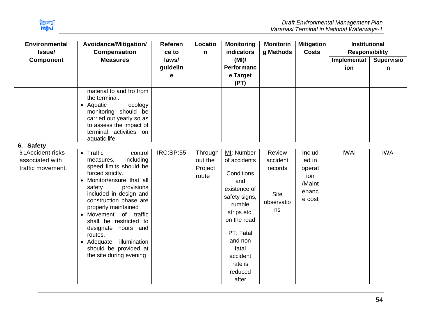

| <b>Environmental</b><br>Issue/                                         | Avoidance/Mitigation/<br><b>Compensation</b>                                                                                                                                                                                                                                                                                                                                                      | Referen<br>ce to       | Locatio<br>$\mathsf{n}$                | <b>Monitoring</b><br>indicators                                                                                                                                                                      | <b>Monitorin</b><br>g Methods                                    | <b>Mitigation</b><br><b>Costs</b>                             | <b>Institutional</b><br><b>Responsibility</b> |                        |
|------------------------------------------------------------------------|---------------------------------------------------------------------------------------------------------------------------------------------------------------------------------------------------------------------------------------------------------------------------------------------------------------------------------------------------------------------------------------------------|------------------------|----------------------------------------|------------------------------------------------------------------------------------------------------------------------------------------------------------------------------------------------------|------------------------------------------------------------------|---------------------------------------------------------------|-----------------------------------------------|------------------------|
| <b>Component</b>                                                       | <b>Measures</b>                                                                                                                                                                                                                                                                                                                                                                                   | laws/<br>guidelin<br>е |                                        | (MI)<br><b>Performanc</b><br>e Target<br>(PT)                                                                                                                                                        |                                                                  |                                                               | Implementat<br>ion                            | <b>Supervisio</b><br>n |
|                                                                        | material to and fro from<br>the terminal.<br>• Aquatic<br>ecology<br>monitoring should be<br>carried out yearly so as<br>to assess the impact of<br>terminal activities on<br>aquatic life.                                                                                                                                                                                                       |                        |                                        |                                                                                                                                                                                                      |                                                                  |                                                               |                                               |                        |
| 6. Safety<br>6.1Accident risks<br>associated with<br>traffic movement. | • Traffic<br>control<br>including<br>measures,<br>speed limits should be<br>forced strictly.<br>Monitor/ensure that all<br>safety<br>provisions<br>included in design and<br>construction phase are<br>properly maintained<br>• Movement of traffic<br>shall be restricted to<br>designate hours and<br>routes.<br>illumination<br>• Adequate<br>should be provided at<br>the site during evening | <b>IRC:SP:55</b>       | Through<br>out the<br>Project<br>route | MI: Number<br>of accidents<br>Conditions<br>and<br>existence of<br>safety signs,<br>rumble<br>strips etc.<br>on the road<br>PT: Fatal<br>and non<br>fatal<br>accident<br>rate is<br>reduced<br>after | Review<br>accident<br>records<br><b>Site</b><br>observatio<br>ns | Includ<br>ed in<br>operat<br>ion<br>/Maint<br>enanc<br>e cost | <b>IWAI</b>                                   | <b>IWAI</b>            |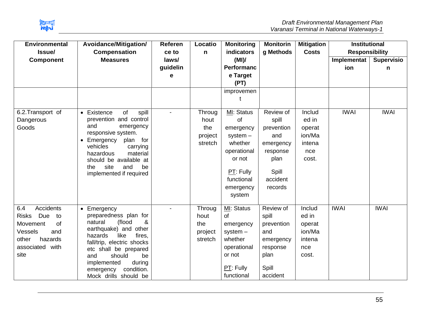

| <b>Environmental</b><br>Avoidance/Mitigation/<br><b>Compensation</b><br>Issue/                                                          |                                                                                                                                                                                                                                                                                 | Referen<br>ce to       | Locatio                                     | <b>Monitoring</b><br>indicators                                                                                                     | <b>Monitorin</b><br>g Methods                                                                            | <b>Mitigation</b><br><b>Costs</b>                             | <b>Institutional</b><br><b>Responsibility</b> |                        |
|-----------------------------------------------------------------------------------------------------------------------------------------|---------------------------------------------------------------------------------------------------------------------------------------------------------------------------------------------------------------------------------------------------------------------------------|------------------------|---------------------------------------------|-------------------------------------------------------------------------------------------------------------------------------------|----------------------------------------------------------------------------------------------------------|---------------------------------------------------------------|-----------------------------------------------|------------------------|
| <b>Component</b>                                                                                                                        | <b>Measures</b>                                                                                                                                                                                                                                                                 | laws/<br>guidelin<br>е | n                                           | (MI)<br>Performanc<br>e Target<br>(PT)                                                                                              |                                                                                                          |                                                               | Implementat<br>ion                            | <b>Supervisio</b><br>n |
|                                                                                                                                         |                                                                                                                                                                                                                                                                                 |                        |                                             | improvemen                                                                                                                          |                                                                                                          |                                                               |                                               |                        |
| 6.2. Transport of<br>Dangerous<br>Goods                                                                                                 | of<br>• Existence<br>spill<br>prevention and control<br>and<br>emergency<br>responsive system.<br>Emergency<br>plan for<br>vehicles<br>carrying<br>material<br>hazardous<br>should be available at<br>site<br>and<br>be<br>the<br>implemented if required                       |                        | Throug<br>hout<br>the<br>project<br>stretch | MI: Status<br>of<br>emergency<br>system $-$<br>whether<br>operational<br>or not<br>$PT:$ Fully<br>functional<br>emergency<br>system | Review of<br>spill<br>prevention<br>and<br>emergency<br>response<br>plan<br>Spill<br>accident<br>records | Includ<br>ed in<br>operat<br>ion/Ma<br>intena<br>nce<br>cost. | <b>IWAI</b>                                   | <b>IWAI</b>            |
| <b>Accidents</b><br>6.4<br>Due<br><b>Risks</b><br>to<br>Movement<br>of<br>Vessels<br>and<br>hazards<br>other<br>associated with<br>site | • Emergency<br>preparedness plan for<br>(flood<br>natural<br>&<br>earthquake) and other<br>hazards<br>like<br>fires.<br>fall/trip, electric shocks<br>etc shall be prepared<br>should<br>be<br>and<br>during<br>implemented<br>condition.<br>emergency<br>Mock drills should be |                        | Throug<br>hout<br>the<br>project<br>stretch | MI: Status<br>of<br>emergency<br>$system -$<br>whether<br>operational<br>or not<br>PT: Fully<br>functional                          | Review of<br>spill<br>prevention<br>and<br>emergency<br>response<br>plan<br>Spill<br>accident            | Includ<br>ed in<br>operat<br>ion/Ma<br>intena<br>nce<br>cost. | <b>IWAI</b>                                   | <b>IWAI</b>            |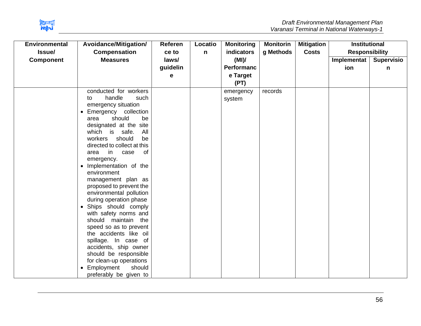

| <b>Environmental</b> | Avoidance/Mitigation/              | <b>Referen</b> | Locatio | <b>Monitoring</b> | <b>Monitorin</b> | <b>Mitigation</b> | <b>Institutional</b>  |                   |
|----------------------|------------------------------------|----------------|---------|-------------------|------------------|-------------------|-----------------------|-------------------|
| Issue/               | <b>Compensation</b>                | ce to          | n       | indicators        | g Methods        | <b>Costs</b>      | <b>Responsibility</b> |                   |
| <b>Component</b>     | <b>Measures</b>                    | laws/          |         | (MI)              |                  |                   | Implementat           | <b>Supervisio</b> |
|                      |                                    | guidelin       |         | <b>Performanc</b> |                  |                   | ion                   | n                 |
|                      |                                    | е              |         | e Target          |                  |                   |                       |                   |
|                      |                                    |                |         | (PT)              |                  |                   |                       |                   |
|                      | conducted for workers              |                |         | emergency         | records          |                   |                       |                   |
|                      | handle<br>such<br>to               |                |         | system            |                  |                   |                       |                   |
|                      | emergency situation                |                |         |                   |                  |                   |                       |                   |
|                      | Emergency collection<br>$\bullet$  |                |         |                   |                  |                   |                       |                   |
|                      | should<br>be<br>area               |                |         |                   |                  |                   |                       |                   |
|                      | designated at the site             |                |         |                   |                  |                   |                       |                   |
|                      | which is<br>safe.<br>All           |                |         |                   |                  |                   |                       |                   |
|                      | be<br>workers<br>should            |                |         |                   |                  |                   |                       |                   |
|                      | directed to collect at this        |                |         |                   |                  |                   |                       |                   |
|                      | in<br>case<br>0f<br>area           |                |         |                   |                  |                   |                       |                   |
|                      | emergency.                         |                |         |                   |                  |                   |                       |                   |
|                      | Implementation of the<br>$\bullet$ |                |         |                   |                  |                   |                       |                   |
|                      | environment                        |                |         |                   |                  |                   |                       |                   |
|                      | management plan as                 |                |         |                   |                  |                   |                       |                   |
|                      | proposed to prevent the            |                |         |                   |                  |                   |                       |                   |
|                      | environmental pollution            |                |         |                   |                  |                   |                       |                   |
|                      | during operation phase             |                |         |                   |                  |                   |                       |                   |
|                      | Ships should comply<br>$\bullet$   |                |         |                   |                  |                   |                       |                   |
|                      | with safety norms and              |                |         |                   |                  |                   |                       |                   |
|                      | should maintain the                |                |         |                   |                  |                   |                       |                   |
|                      | speed so as to prevent             |                |         |                   |                  |                   |                       |                   |
|                      | the accidents like oil             |                |         |                   |                  |                   |                       |                   |
|                      | spillage. In case of               |                |         |                   |                  |                   |                       |                   |
|                      | accidents, ship owner              |                |         |                   |                  |                   |                       |                   |
|                      | should be responsible              |                |         |                   |                  |                   |                       |                   |
|                      | for clean-up operations            |                |         |                   |                  |                   |                       |                   |
|                      | Employment<br>should<br>$\bullet$  |                |         |                   |                  |                   |                       |                   |
|                      | preferably be given to             |                |         |                   |                  |                   |                       |                   |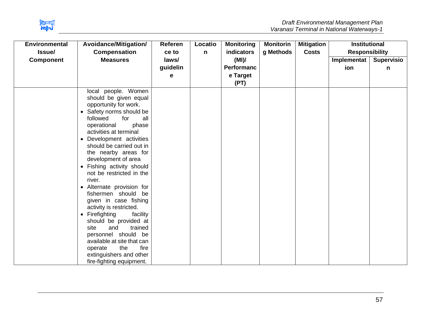

| <b>Environmental</b><br>Issue/ | Avoidance/Mitigation/<br><b>Compensation</b>                                                                                                                                                                                                                                                                                                                                                                                                                                                                                                                                                                                                                                                                          | <b>Referen</b><br>ce to | Locatio<br>$\mathsf{n}$ | <b>Monitoring</b><br>indicators               | <b>Monitorin</b><br>g Methods | <b>Mitigation</b><br><b>Costs</b> | <b>Institutional</b><br><b>Responsibility</b> |                        |
|--------------------------------|-----------------------------------------------------------------------------------------------------------------------------------------------------------------------------------------------------------------------------------------------------------------------------------------------------------------------------------------------------------------------------------------------------------------------------------------------------------------------------------------------------------------------------------------------------------------------------------------------------------------------------------------------------------------------------------------------------------------------|-------------------------|-------------------------|-----------------------------------------------|-------------------------------|-----------------------------------|-----------------------------------------------|------------------------|
| <b>Component</b>               | <b>Measures</b>                                                                                                                                                                                                                                                                                                                                                                                                                                                                                                                                                                                                                                                                                                       | laws/<br>guidelin<br>е  |                         | (MI)<br><b>Performanc</b><br>e Target<br>(PT) |                               |                                   | Implementat<br>ion                            | <b>Supervisio</b><br>n |
|                                | local people. Women<br>should be given equal<br>opportunity for work.<br>Safety norms should be<br>$\bullet$<br>followed<br>for<br>all<br>operational<br>phase<br>activities at terminal<br>Development activities<br>$\bullet$<br>should be carried out in<br>the nearby areas for<br>development of area<br>• Fishing activity should<br>not be restricted in the<br>river.<br>Alternate provision for<br>fishermen should be<br>given in case fishing<br>activity is restricted.<br>Firefighting<br>facility<br>$\bullet$<br>should be provided at<br>trained<br>site<br>and<br>personnel should be<br>available at site that can<br>fire<br>the<br>operate<br>extinguishers and other<br>fire-fighting equipment. |                         |                         |                                               |                               |                                   |                                               |                        |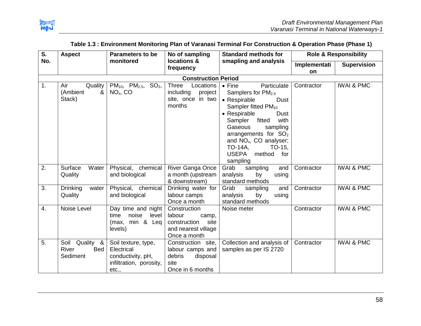

| S.  | <b>Aspect</b>                                 | <b>Parameters to be</b>                                                                    | No of sampling                                                                                 | <b>Standard methods for</b>                                                                                                                                                                                                                                                                                                        |                           | <b>Role &amp; Responsibility</b> |
|-----|-----------------------------------------------|--------------------------------------------------------------------------------------------|------------------------------------------------------------------------------------------------|------------------------------------------------------------------------------------------------------------------------------------------------------------------------------------------------------------------------------------------------------------------------------------------------------------------------------------|---------------------------|----------------------------------|
| No. |                                               | monitored                                                                                  | locations &<br>frequency                                                                       | smapling and analysis                                                                                                                                                                                                                                                                                                              | Implementati<br><b>on</b> | <b>Supervision</b>               |
|     |                                               |                                                                                            | <b>Construction Period</b>                                                                     |                                                                                                                                                                                                                                                                                                                                    |                           |                                  |
| 1.  | Air<br>Quality<br>(Ambient<br>&<br>Stack)     | $PM_{10}$ , $PM_{2.5}$ , SO <sub>2</sub> ,<br>$NOx$ , CO                                   | <b>Three</b><br>Locations<br>including<br>project<br>site, once in two<br>months               | $\bullet$ Fine<br>Particulate<br>Samplers for $PM2.5$<br>• Respirable<br><b>Dust</b><br>Sampler fitted PM <sub>10</sub><br>• Respirable<br>Dust<br>Sampler<br>fitted<br>with<br>Gaseous<br>sampling<br>arrangements for $SO2$<br>and NO <sub>x</sub> , CO analyser;<br><b>TO-14A,</b><br>TO-15,<br>USEPA method<br>for<br>sampling | Contractor                | <b>IWAI &amp; PMC</b>            |
| 2.  | Surface<br>Water<br>Quality                   | Physical, chemical<br>and biological                                                       | River Ganga Once<br>a month (upstream<br>& downstream)                                         | Grab<br>sampling<br>and<br>analysis<br>by<br>using<br>standard methods                                                                                                                                                                                                                                                             | Contractor                | <b>IWAI &amp; PMC</b>            |
| 3.  | <b>Drinking</b><br>water<br>Quality           | Physical, chemical<br>and biological                                                       | Drinking water for<br>labour camps<br>Once a month                                             | Grab<br>sampling<br>and<br>analysis<br>by<br>using<br>standard methods                                                                                                                                                                                                                                                             | Contractor                | <b>IWAI &amp; PMC</b>            |
| 4.  | Noise Level                                   | Day time and night<br>noise<br>level<br>time<br>(max, min & Leq<br>levels)                 | Construction<br>labour<br>camp,<br>construction<br>site<br>and nearest village<br>Once a month | Noise meter                                                                                                                                                                                                                                                                                                                        | Contractor                | <b>IWAI &amp; PMC</b>            |
| 5.  | Soil<br>Quality &<br>River<br>Bed<br>Sediment | Soil texture, type,<br>Electrical<br>conductivity, pH,<br>infiltration, porosity,<br>etc., | Construction site,<br>labour camps and<br>debris<br>disposal<br>site<br>Once in 6 months       | Collection and analysis of<br>samples as per IS 2720                                                                                                                                                                                                                                                                               | Contractor                | <b>IWAI &amp; PMC</b>            |

## **Table 1.3 : Environment Monitoring Plan of Varanasi Terminal For Construction & Operation Phase (Phase 1)**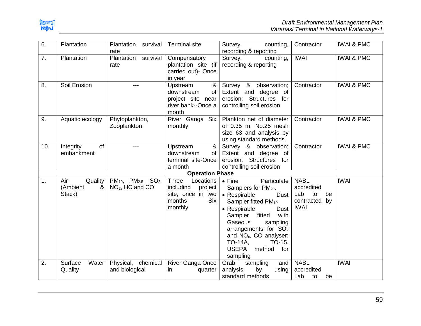

| 6.  | Plantation             | Plantation<br>survival            | <b>Terminal site</b>                    | counting,<br>Survey,               | Contractor       | <b>IWAI &amp; PMC</b> |
|-----|------------------------|-----------------------------------|-----------------------------------------|------------------------------------|------------------|-----------------------|
| 7.  | Plantation             | rate<br>Plantation                |                                         | recording & reporting              | <b>IWAI</b>      | <b>IWAI &amp; PMC</b> |
|     |                        | survival                          | Compensatory                            | Survey,<br>counting,               |                  |                       |
|     |                        | rate                              | plantation site (if                     | recording & reporting              |                  |                       |
|     |                        |                                   | carried out)- Once                      |                                    |                  |                       |
| 8.  | Soil Erosion           | ---                               | in year<br>Upstream<br>&                | Survey & observation;              | Contractor       | <b>IWAI &amp; PMC</b> |
|     |                        |                                   | downstream<br>of                        | Extent and degree of               |                  |                       |
|     |                        |                                   |                                         | erosion; Structures for            |                  |                       |
|     |                        |                                   | project site near<br>river bank--Once a | controlling soil erosion           |                  |                       |
|     |                        |                                   | month                                   |                                    |                  |                       |
| 9.  | Aquatic ecology        | Phytoplankton,                    | River Ganga Six                         | Plankton net of diameter           | Contractor       | <b>IWAI &amp; PMC</b> |
|     |                        | Zooplankton                       | monthly                                 | of 0.35 m, No.25 mesh              |                  |                       |
|     |                        |                                   |                                         | size 63 and analysis by            |                  |                       |
|     |                        |                                   |                                         | using standard methods.            |                  |                       |
| 10. | <b>of</b><br>Integrity | ---                               | &<br>Upstream                           | Survey & observation;              | Contractor       | <b>IWAI &amp; PMC</b> |
|     | embankment             |                                   | downstream<br>of                        | Extent and degree of               |                  |                       |
|     |                        |                                   | terminal site-Once                      | erosion; Structures for            |                  |                       |
|     |                        |                                   | a month                                 | controlling soil erosion           |                  |                       |
|     |                        |                                   | <b>Operation Phase</b>                  |                                    |                  |                       |
| 1.  | Air<br>Quality         | $PM_{10}$ , $PM_{2.5}$ , $SO_2$ , | Three<br>Locations                      | Particulate<br>$\bullet$ Fine      | <b>NABL</b>      | <b>IWAI</b>           |
|     | &<br>(Ambient          | $NO2$ , HC and CO                 | including<br>project                    | Samplers for PM <sub>2.5</sub>     | accredited       |                       |
|     | Stack)                 |                                   | site, once in two                       | • Respirable<br>Dust               | Lab<br>to<br>be  |                       |
|     |                        |                                   | -Six<br>months                          | Sampler fitted PM <sub>10</sub>    | contracted<br>by |                       |
|     |                        |                                   | monthly                                 | • Respirable<br><b>Dust</b>        | <b>IWAI</b>      |                       |
|     |                        |                                   |                                         | fitted<br>Sampler<br>with          |                  |                       |
|     |                        |                                   |                                         | Gaseous<br>sampling                |                  |                       |
|     |                        |                                   |                                         | arrangements for $SO2$             |                  |                       |
|     |                        |                                   |                                         | and NO <sub>x</sub> , CO analyser; |                  |                       |
|     |                        |                                   |                                         | <b>TO-14A,</b><br>TO-15,           |                  |                       |
|     |                        |                                   |                                         | <b>USEPA</b><br>method<br>for      |                  |                       |
|     |                        |                                   |                                         | sampling                           |                  |                       |
| 2.  | Surface<br>Water       | Physical, chemical                | River Ganga Once                        | Grab<br>sampling<br>and            | <b>NABL</b>      | <b>IWAI</b>           |
|     | Quality                | and biological                    | in.<br>quarter                          | analysis<br>by<br>using            | accredited       |                       |
|     |                        |                                   |                                         | standard methods                   | Lab<br>to<br>be  |                       |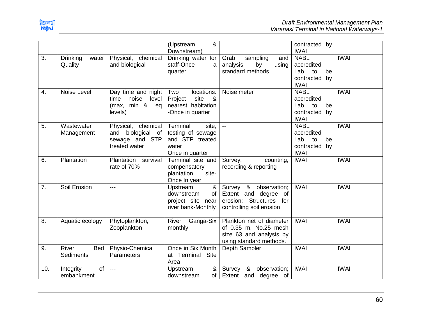

|     |                                  |                                                                               | &<br>(Upstream<br>Downstream)                                                         |                                                                                                            | contracted by<br><b>IWAI</b>                                                    |             |
|-----|----------------------------------|-------------------------------------------------------------------------------|---------------------------------------------------------------------------------------|------------------------------------------------------------------------------------------------------------|---------------------------------------------------------------------------------|-------------|
| 3.  | Drinking<br>water<br>Quality     | Physical,<br>chemical<br>and biological                                       | Drinking water for<br>staff-Once<br>a<br>quarter                                      | Grab<br>sampling<br>and<br>analysis<br>by<br>using<br>standard methods                                     | <b>NABL</b><br>accredited<br>Lab<br>to<br>be<br>contracted<br>by<br><b>IWAI</b> | <b>IWAI</b> |
| 4.  | Noise Level                      | Day time and night<br>noise<br>level<br>time<br>(max, min & Leq<br>levels)    | locations:<br>Two<br>site<br>Project<br>&<br>nearest habitation<br>-Once in quarter   | Noise meter                                                                                                | <b>NABL</b><br>accredited<br>Lab<br>to<br>be<br>contracted<br>by<br><b>IWAI</b> | <b>IWAI</b> |
| 5.  | Wastewater<br>Management         | Physical, chemical<br>biological of<br>and<br>sewage and STP<br>treated water | Terminal<br>site,<br>testing of sewage<br>and STP treated<br>water<br>Once in quarter | $\overline{\phantom{a}}$                                                                                   | <b>NABL</b><br>accredited<br>Lab<br>to<br>be<br>contracted<br>by<br><b>IWAI</b> | <b>IWAI</b> |
| 6.  | Plantation                       | Plantation survival<br>rate of 70%                                            | Terminal site and<br>compensatory<br>plantation<br>site-<br>Once In year              | Survey,<br>counting,<br>recording & reporting                                                              | <b>IWAI</b>                                                                     | <b>IWAI</b> |
| 7.  | Soil Erosion                     | $---$                                                                         | &<br>Upstream<br>downstream<br>of<br>project site near<br>river bank-Monthly          | Survey &<br>observation;<br>Extent and degree<br>of<br>erosion; Structures for<br>controlling soil erosion | <b>IWAI</b>                                                                     | <b>IWAI</b> |
| 8.  | Aquatic ecology                  | Phytoplankton,<br>Zooplankton                                                 | River Ganga-Six<br>monthly                                                            | Plankton net of diameter<br>of 0.35 m, No.25 mesh<br>size 63 and analysis by<br>using standard methods.    | <b>IWAI</b>                                                                     | <b>IWAI</b> |
| 9.  | <b>River</b><br>Bed<br>Sediments | Physio-Chemical<br>Parameters                                                 | Once in Six Month<br>at Terminal Site<br>Area                                         | Depth Sampler                                                                                              | <b>IWAI</b>                                                                     | <b>IWAI</b> |
| 10. | of<br>Integrity<br>embankment    | $---$                                                                         | &<br>Upstream<br>of<br>downstream                                                     | Survey &<br>observation;<br>Extent and degree of                                                           | <b>IWAI</b>                                                                     | <b>IWAI</b> |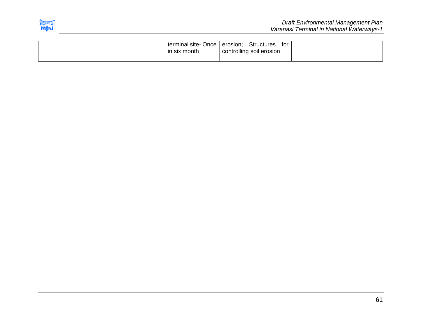

|  | terminal site-Once   erosion;<br>in six month | <b>Structures</b><br>tor<br>controlling soil erosion |  |
|--|-----------------------------------------------|------------------------------------------------------|--|
|  |                                               |                                                      |  |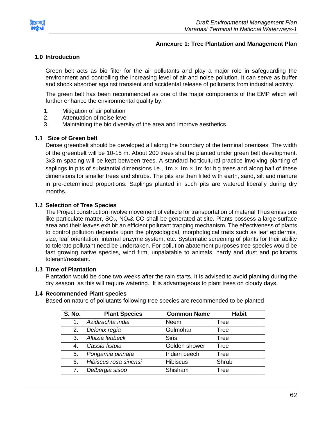

## **Annexure 1: Tree Plantation and Management Plan**

## **1.0 Introduction**

Green belt acts as bio filter for the air pollutants and play a major role in safeguarding the environment and controlling the increasing level of air and noise pollution. It can serve as buffer and shock absorber against transient and accidental release of pollutants from industrial activity.

The green belt has been recommended as one of the major components of the EMP which will further enhance the environmental quality by:

- 1. Mitigation of air pollution
- 2. Attenuation of noise level
- 3. Maintaining the bio diversity of the area and improve aesthetics.

### **1.1 Size of Green belt**

Dense greenbelt should be developed all along the boundary of the terminal premises. The width of the greenbelt will be 10-15 m. About 200 trees shal be planted under green belt development. 3x3 m spacing will be kept between trees. A standard horticultural practice involving planting of saplings in pits of substantial dimensions i.e.,  $1m \times 1m \times 1m$  for big trees and along half of these dimensions for smaller trees and shrubs. The pits are then filled with earth, sand, silt and manure in pre-determined proportions. Saplings planted in such pits are watered liberally during dry months.

## **1.2 Selection of Tree Species**

The Project construction involve movement of vehicle for transportation of material Thus emissions like particulate matter,  $SO_2$ ,  $NO_x$ & CO shall be generated at site. Plants possess a large surface area and their leaves exhibit an efficient pollutant trapping mechanism. The effectiveness of plants to control pollution depends upon the physiological, morphological traits such as leaf epidermis, size, leaf orientation, internal enzyme system, etc. Systematic screening of plants for their ability to tolerate pollutant need be undertaken. For pollution abatement purposes tree species would be fast growing native species, wind firm, unpalatable to animals, hardy and dust and pollutants tolerant/resistant.

## **1.3 Time of Plantation**

Plantation would be done two weeks after the rain starts. It is advised to avoid planting during the dry season, as this will require watering. It is advantageous to plant trees on cloudy days.

#### **1.4 Recommended Plant species**

Based on nature of pollutants following tree species are recommended to be planted

| <b>S. No.</b> | <b>Plant Species</b>  | <b>Common Name</b> | <b>Habit</b> |
|---------------|-----------------------|--------------------|--------------|
| 1.            | Azidirachta india     | <b>Neem</b>        | <b>Tree</b>  |
| 2.            | Delonix regia         | Gulmohar           | <b>Tree</b>  |
| 3.            | Albizia lebbeck       | <b>Siris</b>       | <b>Tree</b>  |
| 4.            | Cassia fistula        | Golden shower      | Tree         |
| 5.            | Pongamia pinnata      | Indian beech       | <b>Tree</b>  |
| 6.            | Hibiscus rosa sinensi | <b>Hibiscus</b>    | Shrub        |
| 7.            | Delbergia sisoo       | Shisham            | Tree         |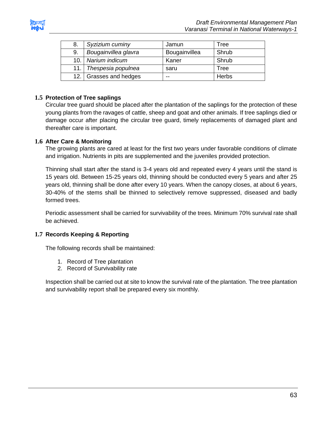

| 8.   | Syzizium cuminy        | Jamun         | Tree  |
|------|------------------------|---------------|-------|
| 9.   | Bougainvillea glavra   | Bougainvillea | Shrub |
|      | 10. Narium indicum     | Kaner         | Shrub |
| 11.1 | Thespesia populnea     | saru          | Tree  |
|      | 12. Grasses and hedges | --            | Herbs |

# **1.5 Protection of Tree saplings**

Circular tree guard should be placed after the plantation of the saplings for the protection of these young plants from the ravages of cattle, sheep and goat and other animals. If tree saplings died or damage occur after placing the circular tree guard, timely replacements of damaged plant and thereafter care is important.

# **1.6 After Care & Monitoring**

The growing plants are cared at least for the first two years under favorable conditions of climate and irrigation. Nutrients in pits are supplemented and the juveniles provided protection.

Thinning shall start after the stand is 3-4 years old and repeated every 4 years until the stand is 15 years old. Between 15-25 years old, thinning should be conducted every 5 years and after 25 years old, thinning shall be done after every 10 years. When the canopy closes, at about 6 years, 30-40% of the stems shall be thinned to selectively remove suppressed, diseased and badly formed trees.

Periodic assessment shall be carried for survivability of the trees. Minimum 70% survival rate shall be achieved.

# **1.7 Records Keeping & Reporting**

The following records shall be maintained:

- 1. Record of Tree plantation
- 2. Record of Survivability rate

Inspection shall be carried out at site to know the survival rate of the plantation. The tree plantation and survivability report shall be prepared every six monthly.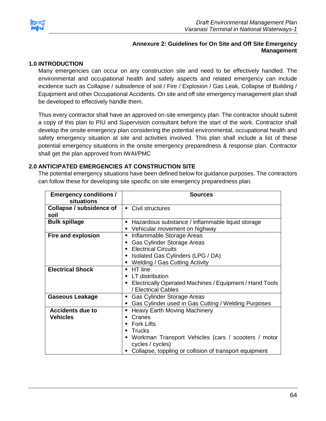

## **Annexure 2: Guidelines for On Site and Off Site Emergency Management**

## **1.0 INTRODUCTION**

Many emergencies can occur on any construction site and need to be effectively handled. The environmental and occupational health and safety aspects and related emergency can include incidence such as Collapse / subsidence of soil / Fire / Explosion / Gas Leak, Collapse of Building / Equipment and other Occupational Accidents. On site and off site emergency management plan shall be developed to effectively handle them.

Thus every contractor shall have an approved on-site emergency plan. The contractor should submit a copy of this plan to PIU and Supervision consultant before the start of the work. Contractor shall develop the onsite emergency plan considering the potential environmental, occupational health and safety emergency situation at site and activities involved. This plan shall include a list of these potential emergency situations in the onsite emergency preparedness & response plan. Contractor shall get the plan approved from IWAI/PMC

## **2.0 ANTICIPATED EMERGENCIES AT CONSTRUCTION SITE**

The potential emergency situations have been defined below for guidance purposes. The contractors can follow these for developing site specific on site emergency preparedness plan.

| <b>Emergency conditions /</b><br>situations | <b>Sources</b>                                                                                                                                                                                                                                                       |
|---------------------------------------------|----------------------------------------------------------------------------------------------------------------------------------------------------------------------------------------------------------------------------------------------------------------------|
| Collapse / subsidence of<br>soil            | • Civil structures                                                                                                                                                                                                                                                   |
| <b>Bulk spillage</b>                        | Hazardous substance / inflammable liquid storage<br>$\blacksquare$<br>Vehicular movement on highway                                                                                                                                                                  |
| Fire and explosion                          | Inflammable Storage Areas<br>п<br><b>Gas Cylinder Storage Areas</b><br>п<br><b>Electrical Circuits</b><br>$\blacksquare$<br>Isolated Gas Cylinders (LPG / DA)<br>п<br>Welding / Gas Cutting Activity                                                                 |
| <b>Electrical Shock</b>                     | HT line<br>$\blacksquare$<br>LT distribution<br>٠<br>Electrically Operated Machines / Equipment / Hand Tools<br>п<br>/ Electrical Cables                                                                                                                             |
| <b>Gaseous Leakage</b>                      | Gas Cylinder Storage Areas<br>п<br>Gas Cylinder used in Gas Cutting / Welding Purposes                                                                                                                                                                               |
| <b>Accidents due to</b><br><b>Vehicles</b>  | <b>Heavy Earth Moving Machinery</b><br>п<br>Cranes<br>٠<br><b>Fork Lifts</b><br>$\blacksquare$<br>Trucks<br>$\blacksquare$<br>Workman Transport Vehicles (cars / scooters / motor<br>п<br>cycles / cycles)<br>Collapse, toppling or collision of transport equipment |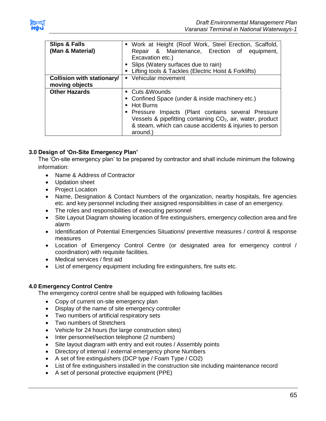

| <b>Slips &amp; Falls</b><br>(Man & Material)        | • Work at Height (Roof Work, Steel Erection, Scaffold,<br>Repair & Maintenance, Erection of equipment,<br>Excavation etc.)<br>• Slips (Watery surfaces due to rain)<br>Lifting tools & Tackles (Electric Hoist & Forklifts)                                                                             |
|-----------------------------------------------------|---------------------------------------------------------------------------------------------------------------------------------------------------------------------------------------------------------------------------------------------------------------------------------------------------------|
| <b>Collision with stationary/</b><br>moving objects | • Vehicular movement                                                                                                                                                                                                                                                                                    |
| <b>Other Hazards</b>                                | • Cuts & Wounds<br>• Confined Space (under & inside machinery etc.)<br><b>Hot Burns</b><br>$\blacksquare$<br>" Pressure Impacts (Plant contains several Pressure<br>Vessels & pipefitting containing $CO2$ , air, water, product<br>& steam, which can cause accidents & injuries to person<br>around.) |

# **3.0 Design of 'On-Site Emergency Plan'**

The 'On-site emergency plan' to be prepared by contractor and shall include minimum the following information:

- Name & Address of Contractor
- Updation sheet
- Project Location
- Name, Designation & Contact Numbers of the organization, nearby hospitals, fire agencies etc. and key personnel including their assigned responsibilities in case of an emergency.
- The roles and responsibilities of executing personnel
- Site Layout Diagram showing location of fire extinguishers, emergency collection area and fire alarm
- Identification of Potential Emergencies Situations/ preventive measures / control & response measures
- Location of Emergency Control Centre (or designated area for emergency control / coordination) with requisite facilities.
- Medical services / first aid
- List of emergency equipment including fire extinguishers, fire suits etc.

# **4.0 Emergency Control Centre**

The emergency control centre shall be equipped with following facilities

- Copy of current on-site emergency plan
- Display of the name of site emergency controller
- Two numbers of artificial respiratory sets
- Two numbers of Stretchers
- Vehicle for 24 hours (for large construction sites)
- Inter personnel/section telephone (2 numbers)
- Site layout diagram with entry and exit routes / Assembly points
- Directory of internal / external emergency phone Numbers
- A set of fire extinguishers (DCP type / Foam Type / CO2)
- List of fire extinguishers installed in the construction site including maintenance record
- A set of personal protective equipment (PPE)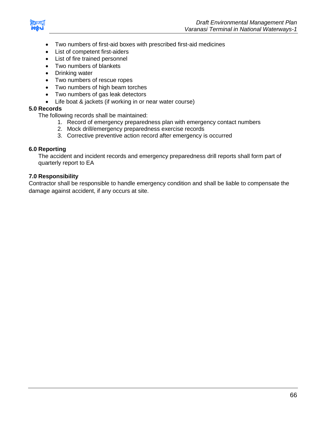

- Two numbers of first-aid boxes with prescribed first-aid medicines
- List of competent first-aiders
- List of fire trained personnel
- Two numbers of blankets
- Drinking water
- Two numbers of rescue ropes
- Two numbers of high beam torches
- Two numbers of gas leak detectors
- Life boat & jackets (if working in or near water course)

## **5.0 Records**

The following records shall be maintained:

- 1. Record of emergency preparedness plan with emergency contact numbers
- 2. Mock drill/emergency preparedness exercise records
- 3. Corrective preventive action record after emergency is occurred

## **6.0 Reporting**

The accident and incident records and emergency preparedness drill reports shall form part of quarterly report to EA

# **7.0 Responsibility**

Contractor shall be responsible to handle emergency condition and shall be liable to compensate the damage against accident, if any occurs at site.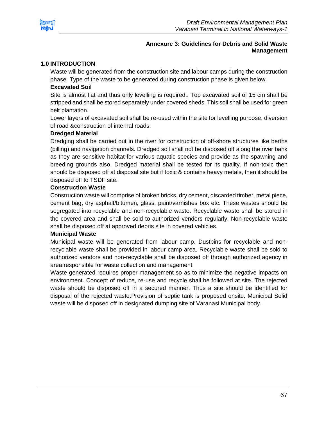

## **Annexure 3: Guidelines for Debris and Solid Waste Management**

## **1.0 INTRODUCTION**

Waste will be generated from the construction site and labour camps during the construction phase. Type of the waste to be generated during construction phase is given below.

## **Excavated Soil**

Site is almost flat and thus only levelling is required.. Top excavated soil of 15 cm shall be stripped and shall be stored separately under covered sheds. This soil shall be used for green belt plantation.

Lower layers of excavated soil shall be re-used within the site for levelling purpose, diversion of road &construction of internal roads.

## **Dredged Material**

Dredging shall be carried out in the river for construction of off-shore structures like berths (pilling) and navigation channels. Dredged soil shall not be disposed off along the river bank as they are sensitive habitat for various aquatic species and provide as the spawning and breeding grounds also. Dredged material shall be tested for its quality. If non-toxic then should be disposed off at disposal site but if toxic & contains heavy metals, then it should be disposed off to TSDF site.

### **Construction Waste**

Construction waste will comprise of broken bricks, dry cement, discarded timber, metal piece, cement bag, dry asphalt/bitumen, glass, paint/varnishes box etc. These wastes should be segregated into recyclable and non-recyclable waste. Recyclable waste shall be stored in the covered area and shall be sold to authorized vendors regularly. Non-recyclable waste shall be disposed off at approved debris site in covered vehicles.

## **Municipal Waste**

Municipal waste will be generated from labour camp. Dustbins for recyclable and nonrecyclable waste shall be provided in labour camp area. Recyclable waste shall be sold to authorized vendors and non-recyclable shall be disposed off through authorized agency in area responsible for waste collection and management.

Waste generated requires proper management so as to minimize the negative impacts on environment. Concept of reduce, re-use and recycle shall be followed at site. The rejected waste should be disposed off in a secured manner. Thus a site should be identified for disposal of the rejected waste.Provision of septic tank is proposed onsite. Municipal Solid waste will be disposed off in designated dumping site of Varanasi Municipal body.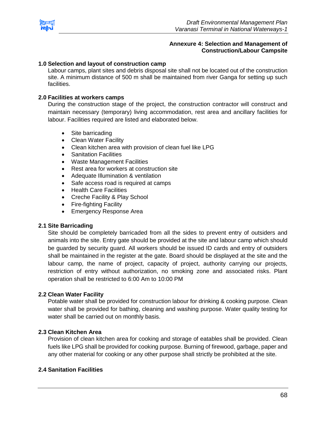

### **Annexure 4: Selection and Management of Construction/Labour Campsite**

### **1.0 Selection and layout of construction camp**

Labour camps, plant sites and debris disposal site shall not be located out of the construction site. A minimum distance of 500 m shall be maintained from river Ganga for setting up such facilities.

#### **2.0 Facilities at workers camps**

During the construction stage of the project, the construction contractor will construct and maintain necessary (temporary) living accommodation, rest area and ancillary facilities for labour. Facilities required are listed and elaborated below.

- Site barricading
- Clean Water Facility
- Clean kitchen area with provision of clean fuel like LPG
- **•** Sanitation Facilities
- Waste Management Facilities
- Rest area for workers at construction site
- Adequate Illumination & ventilation
- Safe access road is required at camps
- Health Care Facilities
- Creche Facility & Play School
- Fire-fighting Facility
- **Emergency Response Area**

#### **2.1 Site Barricading**

Site should be completely barricaded from all the sides to prevent entry of outsiders and animals into the site. Entry gate should be provided at the site and labour camp which should be guarded by security guard. All workers should be issued ID cards and entry of outsiders shall be maintained in the register at the gate. Board should be displayed at the site and the labour camp, the name of project, capacity of project, authority carrying our projects, restriction of entry without authorization, no smoking zone and associated risks. Plant operation shall be restricted to 6:00 Am to 10:00 PM

### **2.2 Clean Water Facility**

Potable water shall be provided for construction labour for drinking & cooking purpose. Clean water shall be provided for bathing, cleaning and washing purpose. Water quality testing for water shall be carried out on monthly basis.

#### **2.3 Clean Kitchen Area**

Provision of clean kitchen area for cooking and storage of eatables shall be provided. Clean fuels like LPG shall be provided for cooking purpose. Burning of firewood, garbage, paper and any other material for cooking or any other purpose shall strictly be prohibited at the site.

#### **2.4 Sanitation Facilities**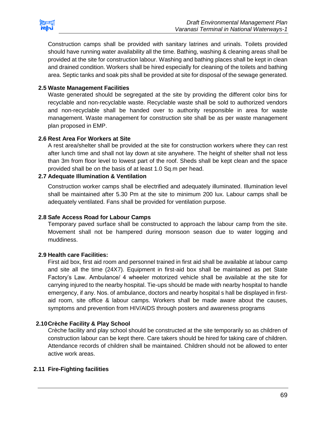

Construction camps shall be provided with sanitary latrines and urinals. Toilets provided should have running water availability all the time. Bathing, washing & cleaning areas shall be provided at the site for construction labour. Washing and bathing places shall be kept in clean and drained condition. Workers shall be hired especially for cleaning of the toilets and bathing area. Septic tanks and soak pits shall be provided at site for disposal of the sewage generated.

## **2.5 Waste Management Facilities**

Waste generated should be segregated at the site by providing the different color bins for recyclable and non-recyclable waste. Recyclable waste shall be sold to authorized vendors and non-recyclable shall be handed over to authority responsible in area for waste management. Waste management for construction site shall be as per waste management plan proposed in EMP.

## **2.6 Rest Area For Workers at Site**

A rest area/shelter shall be provided at the site for construction workers where they can rest after lunch time and shall not lay down at site anywhere. The height of shelter shall not less than 3m from floor level to lowest part of the roof. Sheds shall be kept clean and the space provided shall be on the basis of at least 1.0 Sq.m per head.

## **2.7 Adequate Illumination & Ventilation**

Construction worker camps shall be electrified and adequately illuminated. Illumination level shall be maintained after 5.30 Pm at the site to minimum 200 lux. Labour camps shall be adequately ventilated. Fans shall be provided for ventilation purpose.

# **2.8 Safe Access Road for Labour Camps**

Temporary paved surface shall be constructed to approach the labour camp from the site. Movement shall not be hampered during monsoon season due to water logging and muddiness.

## **2.9 Health care Facilities:**

First aid box, first aid room and personnel trained in first aid shall be available at labour camp and site all the time (24X7). Equipment in first-aid box shall be maintained as pet State Factory's Law. Ambulance/ 4 wheeler motorized vehicle shall be available at the site for carrying injured to the nearby hospital. Tie-ups should be made with nearby hospital to handle emergency, if any. Nos. of ambulance, doctors and nearby hospital s hall be displayed in firstaid room, site office & labour camps. Workers shall be made aware about the causes, symptoms and prevention from HIV/AIDS through posters and awareness programs

## **2.10Crèche Facility & Play School**

Crèche facility and play school should be constructed at the site temporarily so as children of construction labour can be kept there. Care takers should be hired for taking care of children. Attendance records of children shall be maintained. Children should not be allowed to enter active work areas.

## **2.11 Fire-Fighting facilities**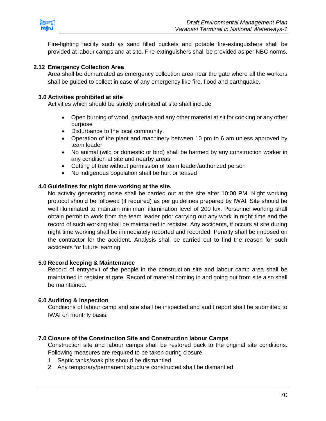

Fire-fighting facility such as sand filled buckets and potable fire-extinguishers shall be provided at labour camps and at site. Fire-extinguishers shall be provided as per NBC norms.

## **2.12 Emergency Collection Area**

Area shall be demarcated as emergency collection area near the gate where all the workers shall be guided to collect in case of any emergency like fire, flood and earthquake.

### **3.0 Activities prohibited at site**

Activities which should be strictly prohibited at site shall include

- Open burning of wood, garbage and any other material at sit for cooking or any other purpose
- Disturbance to the local community.
- Operation of the plant and machinery between 10 pm to 6 am unless approved by team leader
- No animal (wild or domestic or bird) shall be harmed by any construction worker in any condition at site and nearby areas
- Cutting of tree without permission of team leader/authorized person
- No indigenous population shall be hurt or teased

### **4.0 Guidelines for night time working at the site.**

No activity generating noise shall be carried out at the site after 10:00 PM. Night working protocol should be followed (if required) as per guidelines prepared by IWAI. Site should be well illuminated to maintain minimum illumination level of 200 lux. Personnel working shall obtain permit to work from the team leader prior carrying out any work in night time and the record of such working shall be maintained in register. Any accidents, if occurs at site during night time working shall be immediately reported and recorded. Penalty shall be imposed on the contractor for the accident. Analysis shall be carried out to find the reason for such accidents for future learning.

#### **5.0 Record keeping & Maintenance**

Record of entry/exit of the people in the construction site and labour camp area shall be maintained in register at gate. Record of material coming in and going out from site also shall be maintained.

## **6.0 Auditing & Inspection**

Conditions of labour camp and site shall be inspected and audit report shall be submitted to IWAI on monthly basis.

## **7.0 Closure of the Construction Site and Construction labour Camps**

Construction site and labour camps shall be restored back to the original site conditions. Following measures are required to be taken during closure

- 1. Septic tanks/soak pits should be dismantled
- 2. Any temporary/permanent structure constructed shall be dismantled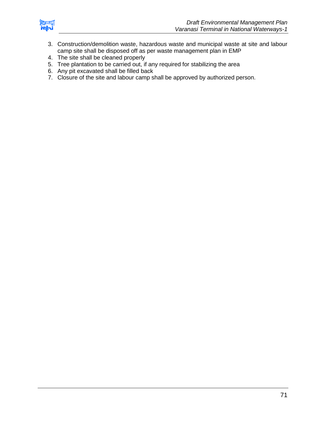

- 3. Construction/demolition waste, hazardous waste and municipal waste at site and labour camp site shall be disposed off as per waste management plan in EMP
- 4. The site shall be cleaned properly
- 5. Tree plantation to be carried out, if any required for stabilizing the area
- 6. Any pit excavated shall be filled back
- 7. Closure of the site and labour camp shall be approved by authorized person.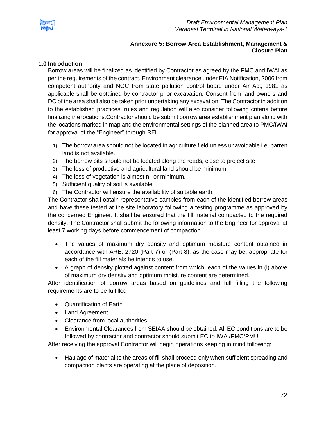

# **Annexure 5: Borrow Area Establishment, Management & Closure Plan**

## **1.0 Introduction**

Borrow areas will be finalized as identified by Contractor as agreed by the PMC and IWAI as per the requirements of the contract. Environment clearance under EIA Notification, 2006 from competent authority and NOC from state pollution control board under Air Act, 1981 as applicable shall be obtained by contractor prior excavation. Consent from land owners and DC of the area shall also be taken prior undertaking any excavation. The Contractor in addition to the established practices, rules and regulation will also consider following criteria before finalizing the locations.Contractor should be submit borrow area establishment plan along with the locations marked in map and the environmental settings of the planned area to PMC/IWAI for approval of the "Engineer" through RFI.

- 1) The borrow area should not be located in agriculture field unless unavoidable i.e. barren land is not available.
- 2) The borrow pits should not be located along the roads, close to project site
- 3) The loss of productive and agricultural land should be minimum.
- 4) The loss of vegetation is almost nil or minimum.
- 5) Sufficient quality of soil is available.
- 6) The Contractor will ensure the availability of suitable earth.

The Contractor shall obtain representative samples from each of the identified borrow areas and have these tested at the site laboratory following a testing programme as approved by the concerned Engineer. It shall be ensured that the fill material compacted to the required density. The Contractor shall submit the following information to the Engineer for approval at least 7 working days before commencement of compaction.

- The values of maximum dry density and optimum moisture content obtained in accordance with ARE: 2720 (Part 7) or (Part 8), as the case may be, appropriate for each of the fill materials he intends to use.
- A graph of density plotted against content from which, each of the values in (i) above of maximum dry density and optimum moisture content are determined.

After identification of borrow areas based on guidelines and full filling the following requirements are to be fulfilled

- Quantification of Earth
- Land Agreement
- Clearance from local authorities
- Environmental Clearances from SEIAA should be obtained. All EC conditions are to be followed by contractor and contractor should submit EC to IWAI/PMC/PMU

After receiving the approval Contractor will begin operations keeping in mind following:

 Haulage of material to the areas of fill shall proceed only when sufficient spreading and compaction plants are operating at the place of deposition.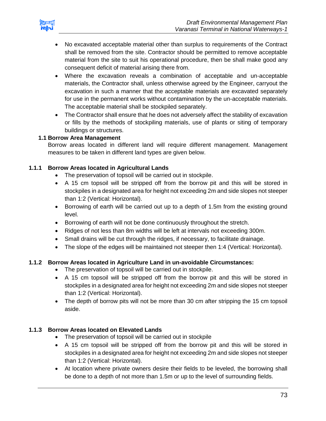

- No excavated acceptable material other than surplus to requirements of the Contract shall be removed from the site. Contractor should be permitted to remove acceptable material from the site to suit his operational procedure, then be shall make good any consequent deficit of material arising there from.
- Where the excavation reveals a combination of acceptable and un-acceptable materials, the Contractor shall, unless otherwise agreed by the Engineer, carryout the excavation in such a manner that the acceptable materials are excavated separately for use in the permanent works without contamination by the un-acceptable materials. The acceptable material shall be stockpiled separately.
- The Contractor shall ensure that he does not adversely affect the stability of excavation or fills by the methods of stockpiling materials, use of plants or siting of temporary buildings or structures.

## **1.1 Borrow Area Management**

Borrow areas located in different land will require different management. Management measures to be taken in different land types are given below.

## **1.1.1 Borrow Areas located in Agricultural Lands**

- The preservation of topsoil will be carried out in stockpile.
- A 15 cm topsoil will be stripped off from the borrow pit and this will be stored in stockpiles in a designated area for height not exceeding 2m and side slopes not steeper than 1:2 (Vertical: Horizontal).
- Borrowing of earth will be carried out up to a depth of 1.5m from the existing ground level.
- Borrowing of earth will not be done continuously throughout the stretch.
- Ridges of not less than 8m widths will be left at intervals not exceeding 300m.
- Small drains will be cut through the ridges, if necessary, to facilitate drainage.
- The slope of the edges will be maintained not steeper then 1:4 (Vertical: Horizontal).

# **1.1.2 Borrow Areas located in Agriculture Land in un-avoidable Circumstances:**

- The preservation of topsoil will be carried out in stockpile.
- A 15 cm topsoil will be stripped off from the borrow pit and this will be stored in stockpiles in a designated area for height not exceeding 2m and side slopes not steeper than 1:2 (Vertical: Horizontal).
- The depth of borrow pits will not be more than 30 cm after stripping the 15 cm topsoil aside.

#### **1.1.3 Borrow Areas located on Elevated Lands**

- The preservation of topsoil will be carried out in stockpile
- A 15 cm topsoil will be stripped off from the borrow pit and this will be stored in stockpiles in a designated area for height not exceeding 2m and side slopes not steeper than 1:2 (Vertical: Horizontal).
- At location where private owners desire their fields to be leveled, the borrowing shall be done to a depth of not more than 1.5m or up to the level of surrounding fields.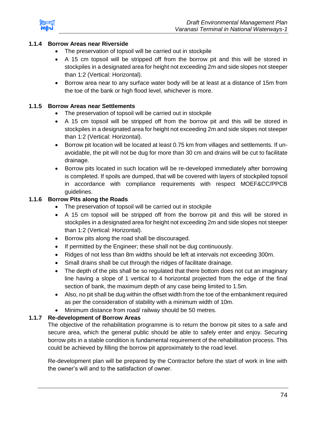

# **1.1.4 Borrow Areas near Riverside**

- The preservation of topsoil will be carried out in stockpile
- A 15 cm topsoil will be stripped off from the borrow pit and this will be stored in stockpiles in a designated area for height not exceeding 2m and side slopes not steeper than 1:2 (Vertical: Horizontal).
- Borrow area near to any surface water body will be at least at a distance of 15m from the toe of the bank or high flood level, whichever is more.

#### **1.1.5 Borrow Areas near Settlements**

- The preservation of topsoil will be carried out in stockpile
- A 15 cm topsoil will be stripped off from the borrow pit and this will be stored in stockpiles in a designated area for height not exceeding 2m and side slopes not steeper than 1:2 (Vertical: Horizontal).
- **Borrow pit location will be located at least 0.75 km from villages and settlements. If un**avoidable, the pit will not be dug for more than 30 cm and drains will be cut to facilitate drainage.
- Borrow pits located in such location will be re-developed immediately after borrowing is completed. If spoils are dumped, that will be covered with layers of stockpiled topsoil in accordance with compliance requirements with respect MOEF&CC/PPCB guidelines.

## **1.1.6 Borrow Pits along the Roads**

- The preservation of topsoil will be carried out in stockpile
- A 15 cm topsoil will be stripped off from the borrow pit and this will be stored in stockpiles in a designated area for height not exceeding 2m and side slopes not steeper than 1:2 (Vertical: Horizontal).
- Borrow pits along the road shall be discouraged.
- If permitted by the Engineer; these shall not be dug continuously.
- Ridges of not less than 8m widths should be left at intervals not exceeding 300m.
- Small drains shall be cut through the ridges of facilitate drainage.
- The depth of the pits shall be so regulated that there bottom does not cut an imaginary line having a slope of 1 vertical to 4 horizontal projected from the edge of the final section of bank, the maximum depth of any case being limited to 1.5m.
- Also, no pit shall be dug within the offset width from the toe of the embankment required as per the consideration of stability with a minimum width of 10m.
- Minimum distance from road/ railway should be 50 metres.

#### **1.1.7 Re-development of Borrow Areas**

The objective of the rehabilitation programme is to return the borrow pit sites to a safe and secure area, which the general public should be able to safely enter and enjoy. Securing borrow pits in a stable condition is fundamental requirement of the rehabilitation process. This could be achieved by filling the borrow pit approximately to the road level.

Re-development plan will be prepared by the Contractor before the start of work in line with the owner's will and to the satisfaction of owner.